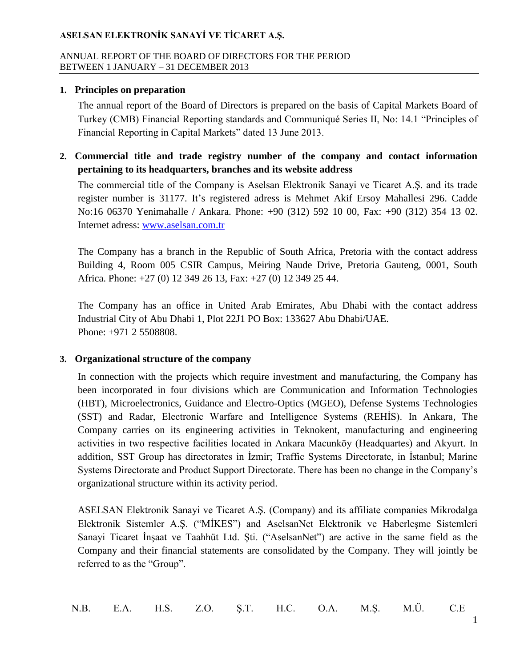#### ANNUAL REPORT OF THE BOARD OF DIRECTORS FOR THE PERIOD BETWEEN 1 JANUARY – 31 DECEMBER 2013

### **1. Principles on preparation**

The annual report of the Board of Directors is prepared on the basis of Capital Markets Board of Turkey (CMB) Financial Reporting standards and Communiqué Series II, No: 14.1 "Principles of Financial Reporting in Capital Markets" dated 13 June 2013.

**2. Commercial title and trade registry number of the company and contact information pertaining to its headquarters, branches and its website address**

The commercial title of the Company is Aselsan Elektronik Sanayi ve Ticaret A.Ş. and its trade register number is 31177. It's registered adress is Mehmet Akif Ersoy Mahallesi 296. Cadde No:16 06370 Yenimahalle / Ankara. Phone: +90 (312) 592 10 00, Fax: +90 (312) 354 13 02. Internet adress: [www.aselsan.com.tr](http://www.aselsan.com.tr/)

The Company has a branch in the Republic of South Africa, Pretoria with the contact address Building 4, Room 005 CSIR Campus, Meiring Naude Drive, Pretoria Gauteng, 0001, South Africa. Phone: +27 (0) 12 349 26 13, Fax: +27 (0) 12 349 25 44.

The Company has an office in United Arab Emirates, Abu Dhabi with the contact address Industrial City of Abu Dhabi 1, Plot 22J1 PO Box: 133627 Abu Dhabi/UAE. Phone: +971 2 5508808.

### **3. Organizational structure of the company**

In connection with the projects which require investment and manufacturing, the Company has been incorporated in four divisions which are Communication and Information Technologies (HBT), Microelectronics, Guidance and Electro-Optics (MGEO), Defense Systems Technologies (SST) and Radar, Electronic Warfare and Intelligence Systems (REHİS). In Ankara, The Company carries on its engineering activities in Teknokent, manufacturing and engineering activities in two respective facilities located in Ankara Macunköy (Headquartes) and Akyurt. In addition, SST Group has directorates in İzmir; Traffic Systems Directorate, in İstanbul; Marine Systems Directorate and Product Support Directorate. There has been no change in the Company's organizational structure within its activity period.

ASELSAN Elektronik Sanayi ve Ticaret A.Ş. (Company) and its affiliate companies Mikrodalga Elektronik Sistemler A.Ş. ("MİKES") and AselsanNet Elektronik ve Haberleşme Sistemleri Sanayi Ticaret İnşaat ve Taahhüt Ltd. Şti. ("AselsanNet") are active in the same field as the Company and their financial statements are consolidated by the Company. They will jointly be referred to as the "Group".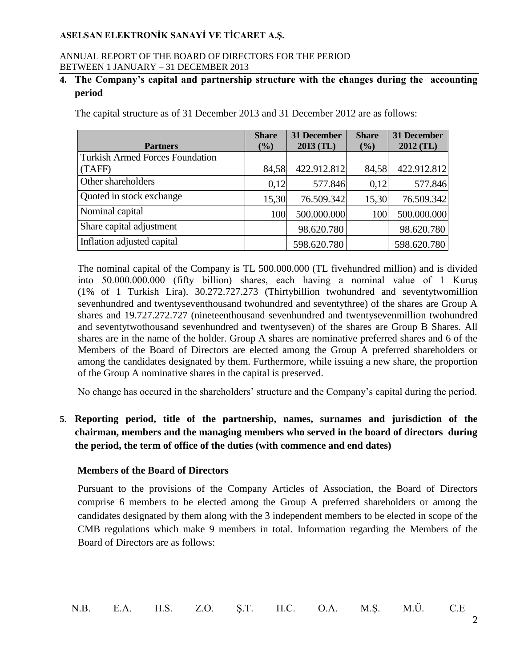#### ANNUAL REPORT OF THE BOARD OF DIRECTORS FOR THE PERIOD BETWEEN 1 JANUARY – 31 DECEMBER 2013

## **4. The Company's capital and partnership structure with the changes during the accounting period**

The capital structure as of 31 December 2013 and 31 December 2012 are as follows:

|                                        | <b>Share</b> | 31 December | <b>Share</b> | 31 December |
|----------------------------------------|--------------|-------------|--------------|-------------|
| <b>Partners</b>                        | $(\%)$       | $2013$ (TL) | (%)          | $2012$ (TL) |
| <b>Turkish Armed Forces Foundation</b> |              |             |              |             |
| (TAFF)                                 | 84,58        | 422.912.812 | 84,58        | 422.912.812 |
| Other shareholders                     | 0,12         | 577.846     | 0,12         | 577.846     |
| Quoted in stock exchange               | 15,30        | 76.509.342  | 15,30        | 76.509.342  |
| Nominal capital                        | 100          | 500.000.000 | 100          | 500.000.000 |
| Share capital adjustment               |              | 98.620.780  |              | 98.620.780  |
| Inflation adjusted capital             |              | 598.620.780 |              | 598.620.780 |

The nominal capital of the Company is TL 500.000.000 (TL fivehundred million) and is divided into 50.000.000.000 (fifty billion) shares, each having a nominal value of 1 Kuruş (1% of 1 Turkish Lira). 30.272.727.273 (Thirtybillion twohundred and seventytwomillion sevenhundred and twentyseventhousand twohundred and seventythree) of the shares are Group A shares and 19.727.272.727 (nineteenthousand sevenhundred and twentysevenmillion twohundred and seventytwothousand sevenhundred and twentyseven) of the shares are Group B Shares. All shares are in the name of the holder. Group A shares are nominative preferred shares and 6 of the Members of the Board of Directors are elected among the Group A preferred shareholders or among the candidates designated by them. Furthermore, while issuing a new share, the proportion of the Group A nominative shares in the capital is preserved.

No change has occured in the shareholders' structure and the Company's capital during the period.

**5. Reporting period, title of the partnership, names, surnames and jurisdiction of the chairman, members and the managing members who served in the board of directors during the period, the term of office of the duties (with commence and end dates)** 

### **Members of the Board of Directors**

Pursuant to the provisions of the Company Articles of Association, the Board of Directors comprise 6 members to be elected among the Group A preferred shareholders or among the candidates designated by them along with the 3 independent members to be elected in scope of the CMB regulations which make 9 members in total. Information regarding the Members of the Board of Directors are as follows: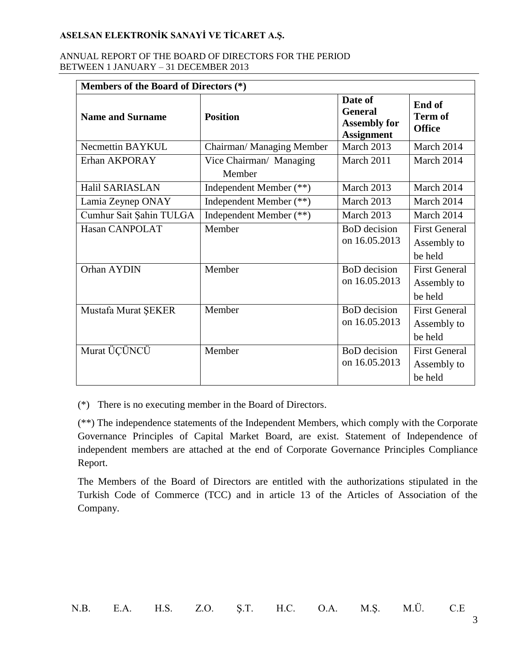#### ANNUAL REPORT OF THE BOARD OF DIRECTORS FOR THE PERIOD BETWEEN 1 JANUARY – 31 DECEMBER 2013

| Members of the Board of Directors (*) |                                   |                                                                       |                                                |
|---------------------------------------|-----------------------------------|-----------------------------------------------------------------------|------------------------------------------------|
| <b>Name and Surname</b>               | <b>Position</b>                   | Date of<br><b>General</b><br><b>Assembly for</b><br><b>Assignment</b> | End of<br><b>Term of</b><br><b>Office</b>      |
| Necmettin BAYKUL                      | Chairman/ Managing Member         | March 2013                                                            | March 2014                                     |
| Erhan AKPORAY                         | Vice Chairman/ Managing<br>Member | March 2011                                                            | March 2014                                     |
| Halil SARIASLAN                       | Independent Member (**)           | March 2013                                                            | March 2014                                     |
| Lamia Zeynep ONAY                     | Independent Member (**)           | March 2013                                                            | March 2014                                     |
| Cumhur Sait Şahin TULGA               | Independent Member (**)           | March 2013                                                            | March 2014                                     |
| Hasan CANPOLAT                        | Member                            | <b>BoD</b> decision<br>on 16.05.2013                                  | <b>First General</b><br>Assembly to<br>be held |
| Orhan AYDIN                           | Member                            | <b>BoD</b> decision<br>on 16.05.2013                                  | <b>First General</b><br>Assembly to<br>be held |
| Mustafa Murat ŞEKER                   | Member                            | <b>BoD</b> decision<br>on 16.05.2013                                  | <b>First General</b><br>Assembly to<br>be held |
| Murat ÜÇÜNCÜ                          | Member                            | <b>BoD</b> decision<br>on 16.05.2013                                  | <b>First General</b><br>Assembly to<br>be held |

(\*) There is no executing member in the Board of Directors.

(\*\*) The independence statements of the Independent Members, which comply with the Corporate Governance Principles of Capital Market Board, are exist. Statement of Independence of independent members are attached at the end of Corporate Governance Principles Compliance Report.

The Members of the Board of Directors are entitled with the authorizations stipulated in the Turkish Code of Commerce (TCC) and in article 13 of the Articles of Association of the Company.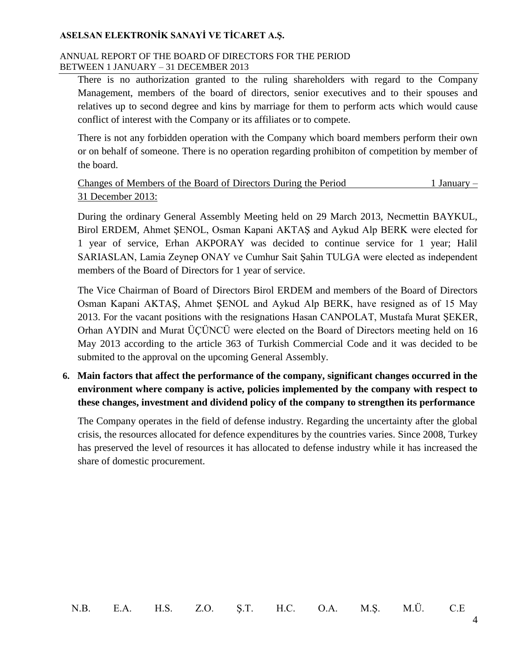#### ANNUAL REPORT OF THE BOARD OF DIRECTORS FOR THE PERIOD BETWEEN 1 JANUARY – 31 DECEMBER 2013

There is no authorization granted to the ruling shareholders with regard to the Company Management, members of the board of directors, senior executives and to their spouses and relatives up to second degree and kins by marriage for them to perform acts which would cause conflict of interest with the Company or its affiliates or to compete.

There is not any forbidden operation with the Company which board members perform their own or on behalf of someone. There is no operation regarding prohibiton of competition by member of the board.

| Changes of Members of the Board of Directors During the Period | 1 January – |
|----------------------------------------------------------------|-------------|
| 31 December 2013:                                              |             |

During the ordinary General Assembly Meeting held on 29 March 2013, Necmettin BAYKUL, Birol ERDEM, Ahmet ŞENOL, Osman Kapani AKTAŞ and Aykud Alp BERK were elected for 1 year of service, Erhan AKPORAY was decided to continue service for 1 year; Halil SARIASLAN, Lamia Zeynep ONAY ve Cumhur Sait Şahin TULGA were elected as independent members of the Board of Directors for 1 year of service.

The Vice Chairman of Board of Directors Birol ERDEM and members of the Board of Directors Osman Kapani AKTAŞ, Ahmet ŞENOL and Aykud Alp BERK, have resigned as of 15 May 2013. For the vacant positions with the resignations Hasan CANPOLAT, Mustafa Murat ŞEKER, Orhan AYDIN and Murat ÜÇÜNCÜ were elected on the Board of Directors meeting held on 16 May 2013 according to the article 363 of Turkish Commercial Code and it was decided to be submited to the approval on the upcoming General Assembly.

**6. Main factors that affect the performance of the company, significant changes occurred in the environment where company is active, policies implemented by the company with respect to these changes, investment and dividend policy of the company to strengthen its performance**

The Company operates in the field of defense industry. Regarding the uncertainty after the global crisis, the resources allocated for defence expenditures by the countries varies. Since 2008, Turkey has preserved the level of resources it has allocated to defense industry while it has increased the share of domestic procurement.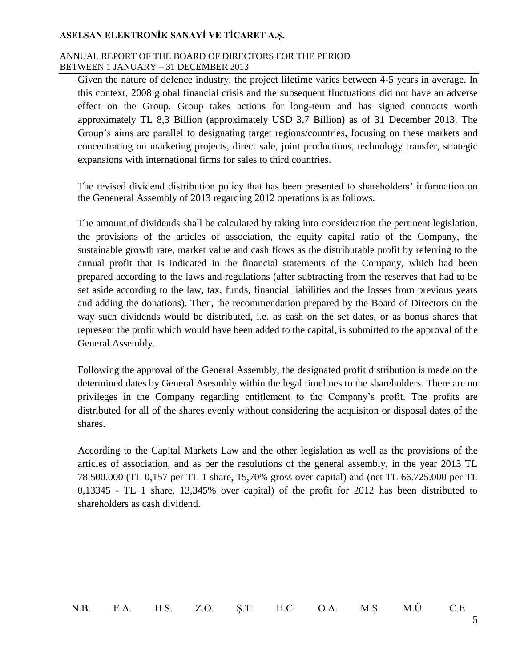#### ANNUAL REPORT OF THE BOARD OF DIRECTORS FOR THE PERIOD BETWEEN 1 JANUARY – 31 DECEMBER 2013

Given the nature of defence industry, the project lifetime varies between 4-5 years in average. In this context, 2008 global financial crisis and the subsequent fluctuations did not have an adverse effect on the Group. Group takes actions for long-term and has signed contracts worth approximately TL 8,3 Billion (approximately USD 3,7 Billion) as of 31 December 2013. The Group's aims are parallel to designating target regions/countries, focusing on these markets and concentrating on marketing projects, direct sale, joint productions, technology transfer, strategic expansions with international firms for sales to third countries.

The revised dividend distribution policy that has been presented to shareholders' information on the Geneneral Assembly of 2013 regarding 2012 operations is as follows.

The amount of dividends shall be calculated by taking into consideration the pertinent legislation, the provisions of the articles of association, the equity capital ratio of the Company, the sustainable growth rate, market value and cash flows as the distributable profit by referring to the annual profit that is indicated in the financial statements of the Company, which had been prepared according to the laws and regulations (after subtracting from the reserves that had to be set aside according to the law, tax, funds, financial liabilities and the losses from previous years and adding the donations). Then, the recommendation prepared by the Board of Directors on the way such dividends would be distributed, i.e. as cash on the set dates, or as bonus shares that represent the profit which would have been added to the capital, is submitted to the approval of the General Assembly.

Following the approval of the General Assembly, the designated profit distribution is made on the determined dates by General Asesmbly within the legal timelines to the shareholders. There are no privileges in the Company regarding entitlement to the Company's profit. The profits are distributed for all of the shares evenly without considering the acquisiton or disposal dates of the shares.

According to the Capital Markets Law and the other legislation as well as the provisions of the articles of association, and as per the resolutions of the general assembly, in the year 2013 TL 78.500.000 (TL 0,157 per TL 1 share, 15,70% gross over capital) and (net TL 66.725.000 per TL 0,13345 - TL 1 share, 13,345% over capital) of the profit for 2012 has been distributed to shareholders as cash dividend.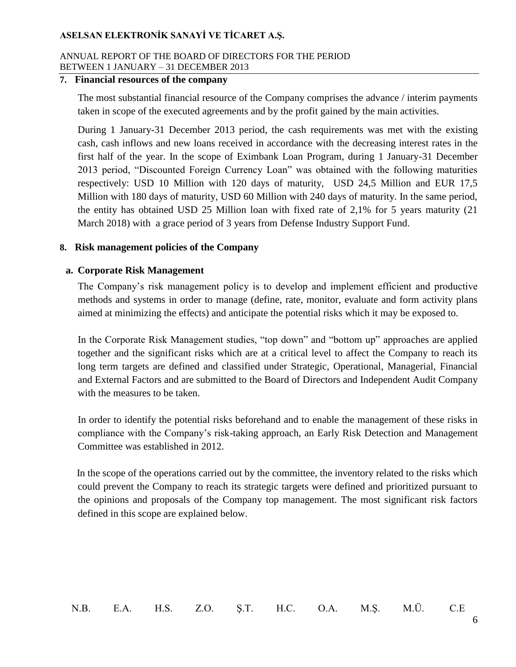#### ANNUAL REPORT OF THE BOARD OF DIRECTORS FOR THE PERIOD BETWEEN 1 JANUARY – 31 DECEMBER 2013

#### **7. Financial resources of the company**

The most substantial financial resource of the Company comprises the advance / interim payments taken in scope of the executed agreements and by the profit gained by the main activities.

During 1 January-31 December 2013 period, the cash requirements was met with the existing cash, cash inflows and new loans received in accordance with the decreasing interest rates in the first half of the year. In the scope of Eximbank Loan Program, during 1 January-31 December 2013 period, "Discounted Foreign Currency Loan" was obtained with the following maturities respectively: USD 10 Million with 120 days of maturity, USD 24,5 Million and EUR 17,5 Million with 180 days of maturity, USD 60 Million with 240 days of maturity. In the same period, the entity has obtained USD 25 Million loan with fixed rate of 2,1% for 5 years maturity (21 March 2018) with a grace period of 3 years from Defense Industry Support Fund.

### **8. Risk management policies of the Company**

### **a. Corporate Risk Management**

The Company's risk management policy is to develop and implement efficient and productive methods and systems in order to manage (define, rate, monitor, evaluate and form activity plans aimed at minimizing the effects) and anticipate the potential risks which it may be exposed to.

In the Corporate Risk Management studies, "top down" and "bottom up" approaches are applied together and the significant risks which are at a critical level to affect the Company to reach its long term targets are defined and classified under Strategic, Operational, Managerial, Financial and External Factors and are submitted to the Board of Directors and Independent Audit Company with the measures to be taken.

In order to identify the potential risks beforehand and to enable the management of these risks in compliance with the Company's risk-taking approach, an Early Risk Detection and Management Committee was established in 2012.

 In the scope of the operations carried out by the committee, the inventory related to the risks which could prevent the Company to reach its strategic targets were defined and prioritized pursuant to the opinions and proposals of the Company top management. The most significant risk factors defined in this scope are explained below.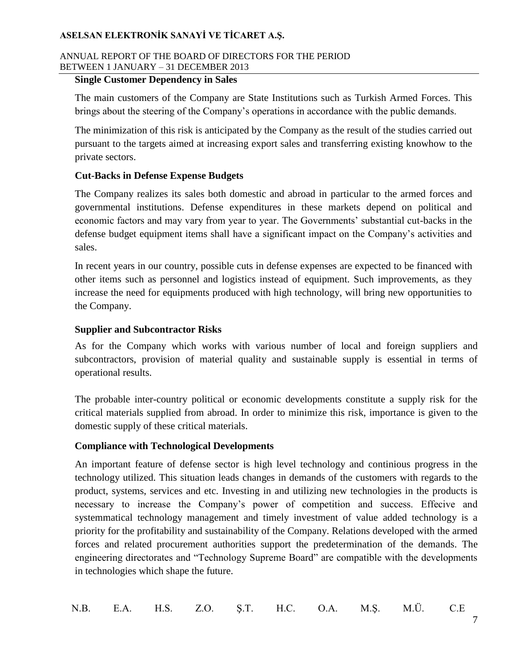#### ANNUAL REPORT OF THE BOARD OF DIRECTORS FOR THE PERIOD BETWEEN 1 JANUARY – 31 DECEMBER 2013

### **Single Customer Dependency in Sales**

The main customers of the Company are State Institutions such as Turkish Armed Forces. This brings about the steering of the Company's operations in accordance with the public demands.

The minimization of this risk is anticipated by the Company as the result of the studies carried out pursuant to the targets aimed at increasing export sales and transferring existing knowhow to the private sectors.

## **Cut-Backs in Defense Expense Budgets**

The Company realizes its sales both domestic and abroad in particular to the armed forces and governmental institutions. Defense expenditures in these markets depend on political and economic factors and may vary from year to year. The Governments' substantial cut-backs in the defense budget equipment items shall have a significant impact on the Company's activities and sales.

In recent years in our country, possible cuts in defense expenses are expected to be financed with other items such as personnel and logistics instead of equipment. Such improvements, as they increase the need for equipments produced with high technology, will bring new opportunities to the Company.

## **Supplier and Subcontractor Risks**

As for the Company which works with various number of local and foreign suppliers and subcontractors, provision of material quality and sustainable supply is essential in terms of operational results.

The probable inter-country political or economic developments constitute a supply risk for the critical materials supplied from abroad. In order to minimize this risk, importance is given to the domestic supply of these critical materials.

### **Compliance with Technological Developments**

An important feature of defense sector is high level technology and continious progress in the technology utilized. This situation leads changes in demands of the customers with regards to the product, systems, services and etc. Investing in and utilizing new technologies in the products is necessary to increase the Company's power of competition and success. Effecive and systemmatical technology management and timely investment of value added technology is a priority for the profitability and sustainability of the Company. Relations developed with the armed forces and related procurement authorities support the predetermination of the demands. The engineering directorates and "Technology Supreme Board" are compatible with the developments in technologies which shape the future.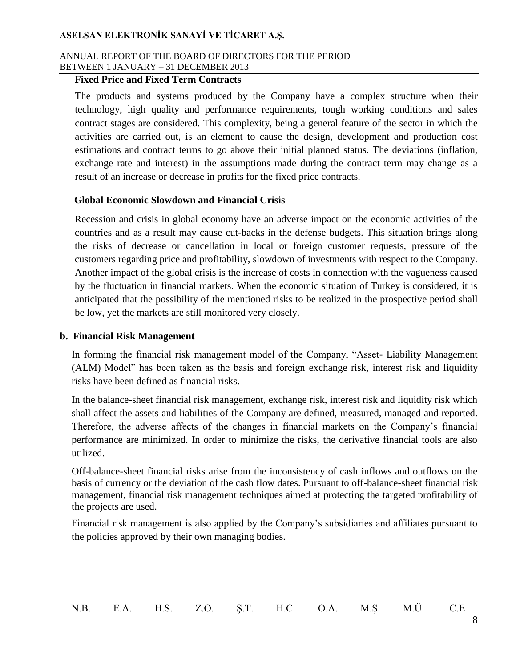#### ANNUAL REPORT OF THE BOARD OF DIRECTORS FOR THE PERIOD BETWEEN 1 JANUARY – 31 DECEMBER 2013

#### **Fixed Price and Fixed Term Contracts**

The products and systems produced by the Company have a complex structure when their technology, high quality and performance requirements, tough working conditions and sales contract stages are considered. This complexity, being a general feature of the sector in which the activities are carried out, is an element to cause the design, development and production cost estimations and contract terms to go above their initial planned status. The deviations (inflation, exchange rate and interest) in the assumptions made during the contract term may change as a result of an increase or decrease in profits for the fixed price contracts.

#### **Global Economic Slowdown and Financial Crisis**

Recession and crisis in global economy have an adverse impact on the economic activities of the countries and as a result may cause cut-backs in the defense budgets. This situation brings along the risks of decrease or cancellation in local or foreign customer requests, pressure of the customers regarding price and profitability, slowdown of investments with respect to the Company. Another impact of the global crisis is the increase of costs in connection with the vagueness caused by the fluctuation in financial markets. When the economic situation of Turkey is considered, it is anticipated that the possibility of the mentioned risks to be realized in the prospective period shall be low, yet the markets are still monitored very closely.

#### **b. Financial Risk Management**

In forming the financial risk management model of the Company, "Asset- Liability Management (ALM) Model" has been taken as the basis and foreign exchange risk, interest risk and liquidity risks have been defined as financial risks.

In the balance-sheet financial risk management, exchange risk, interest risk and liquidity risk which shall affect the assets and liabilities of the Company are defined, measured, managed and reported. Therefore, the adverse affects of the changes in financial markets on the Company's financial performance are minimized. In order to minimize the risks, the derivative financial tools are also utilized.

Off-balance-sheet financial risks arise from the inconsistency of cash inflows and outflows on the basis of currency or the deviation of the cash flow dates. Pursuant to off-balance-sheet financial risk management, financial risk management techniques aimed at protecting the targeted profitability of the projects are used.

Financial risk management is also applied by the Company's subsidiaries and affiliates pursuant to the policies approved by their own managing bodies.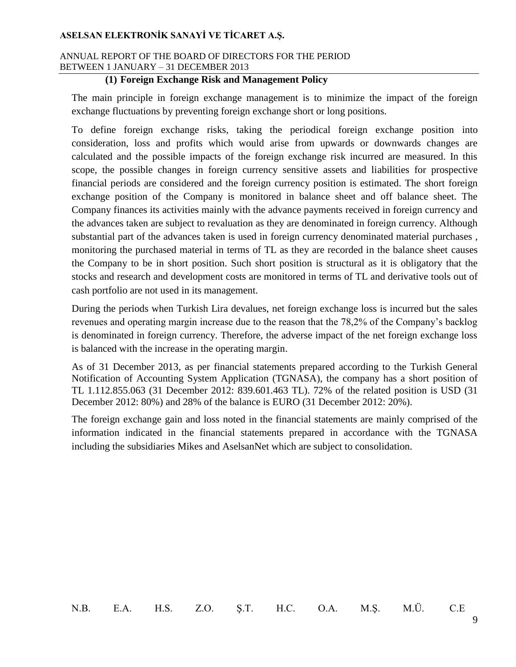#### ANNUAL REPORT OF THE BOARD OF DIRECTORS FOR THE PERIOD BETWEEN 1 JANUARY – 31 DECEMBER 2013

### **(1) Foreign Exchange Risk and Management Policy**

The main principle in foreign exchange management is to minimize the impact of the foreign exchange fluctuations by preventing foreign exchange short or long positions.

To define foreign exchange risks, taking the periodical foreign exchange position into consideration, loss and profits which would arise from upwards or downwards changes are calculated and the possible impacts of the foreign exchange risk incurred are measured. In this scope, the possible changes in foreign currency sensitive assets and liabilities for prospective financial periods are considered and the foreign currency position is estimated. The short foreign exchange position of the Company is monitored in balance sheet and off balance sheet. The Company finances its activities mainly with the advance payments received in foreign currency and the advances taken are subject to revaluation as they are denominated in foreign currency. Although substantial part of the advances taken is used in foreign currency denominated material purchases , monitoring the purchased material in terms of TL as they are recorded in the balance sheet causes the Company to be in short position. Such short position is structural as it is obligatory that the stocks and research and development costs are monitored in terms of TL and derivative tools out of cash portfolio are not used in its management.

During the periods when Turkish Lira devalues, net foreign exchange loss is incurred but the sales revenues and operating margin increase due to the reason that the 78,2% of the Company's backlog is denominated in foreign currency. Therefore, the adverse impact of the net foreign exchange loss is balanced with the increase in the operating margin.

As of 31 December 2013, as per financial statements prepared according to the Turkish General Notification of Accounting System Application (TGNASA), the company has a short position of TL 1.112.855.063 (31 December 2012: 839.601.463 TL). 72% of the related position is USD (31 December 2012: 80%) and 28% of the balance is EURO (31 December 2012: 20%).

The foreign exchange gain and loss noted in the financial statements are mainly comprised of the information indicated in the financial statements prepared in accordance with the TGNASA including the subsidiaries Mikes and AselsanNet which are subject to consolidation.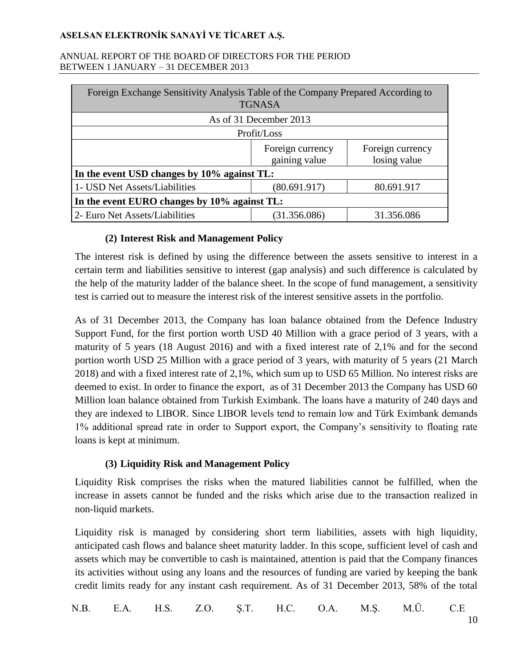#### ANNUAL REPORT OF THE BOARD OF DIRECTORS FOR THE PERIOD BETWEEN 1 JANUARY – 31 DECEMBER 2013

| Foreign Exchange Sensitivity Analysis Table of the Company Prepared According to<br><b>TGNASA</b> |                                   |                                  |  |
|---------------------------------------------------------------------------------------------------|-----------------------------------|----------------------------------|--|
|                                                                                                   | As of 31 December 2013            |                                  |  |
| Profit/Loss                                                                                       |                                   |                                  |  |
|                                                                                                   | Foreign currency<br>gaining value | Foreign currency<br>losing value |  |
| In the event USD changes by 10% against TL:                                                       |                                   |                                  |  |
| 1- USD Net Assets/Liabilities                                                                     | (80.691.917)                      | 80.691.917                       |  |
| In the event EURO changes by 10% against TL:                                                      |                                   |                                  |  |
| 2- Euro Net Assets/Liabilities<br>(31.356.086)<br>31.356.086                                      |                                   |                                  |  |

## **(2) Interest Risk and Management Policy**

The interest risk is defined by using the difference between the assets sensitive to interest in a certain term and liabilities sensitive to interest (gap analysis) and such difference is calculated by the help of the maturity ladder of the balance sheet. In the scope of fund management, a sensitivity test is carried out to measure the interest risk of the interest sensitive assets in the portfolio.

As of 31 December 2013, the Company has loan balance obtained from the Defence Industry Support Fund, for the first portion worth USD 40 Million with a grace period of 3 years, with a maturity of 5 years (18 August 2016) and with a fixed interest rate of 2,1% and for the second portion worth USD 25 Million with a grace period of 3 years, with maturity of 5 years (21 March 2018) and with a fixed interest rate of 2,1%, which sum up to USD 65 Million. No interest risks are deemed to exist. In order to finance the export, as of 31 December 2013 the Company has USD 60 Million loan balance obtained from Turkish Eximbank. The loans have a maturity of 240 days and they are indexed to LIBOR. Since LIBOR levels tend to remain low and Türk Eximbank demands 1% additional spread rate in order to Support export, the Company's sensitivity to floating rate loans is kept at minimum.

### **(3) Liquidity Risk and Management Policy**

Liquidity Risk comprises the risks when the matured liabilities cannot be fulfilled, when the increase in assets cannot be funded and the risks which arise due to the transaction realized in non-liquid markets.

Liquidity risk is managed by considering short term liabilities, assets with high liquidity, anticipated cash flows and balance sheet maturity ladder. In this scope, sufficient level of cash and assets which may be convertible to cash is maintained, attention is paid that the Company finances its activities without using any loans and the resources of funding are varied by keeping the bank credit limits ready for any instant cash requirement. As of 31 December 2013, 58% of the total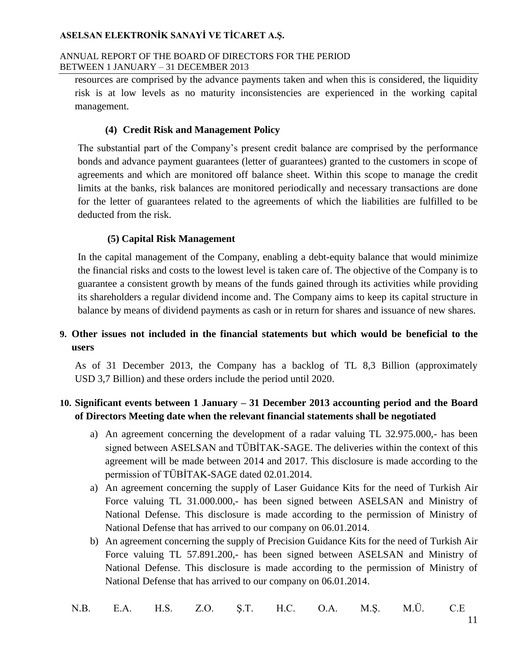#### ANNUAL REPORT OF THE BOARD OF DIRECTORS FOR THE PERIOD BETWEEN 1 JANUARY – 31 DECEMBER 2013

resources are comprised by the advance payments taken and when this is considered, the liquidity risk is at low levels as no maturity inconsistencies are experienced in the working capital management.

### **(4) Credit Risk and Management Policy**

The substantial part of the Company's present credit balance are comprised by the performance bonds and advance payment guarantees (letter of guarantees) granted to the customers in scope of agreements and which are monitored off balance sheet. Within this scope to manage the credit limits at the banks, risk balances are monitored periodically and necessary transactions are done for the letter of guarantees related to the agreements of which the liabilities are fulfilled to be deducted from the risk.

### **(5) Capital Risk Management**

In the capital management of the Company, enabling a debt-equity balance that would minimize the financial risks and costs to the lowest level is taken care of. The objective of the Company is to guarantee a consistent growth by means of the funds gained through its activities while providing its shareholders a regular dividend income and. The Company aims to keep its capital structure in balance by means of dividend payments as cash or in return for shares and issuance of new shares.

## **9. Other issues not included in the financial statements but which would be beneficial to the users**

As of 31 December 2013, the Company has a backlog of TL 8,3 Billion (approximately USD 3,7 Billion) and these orders include the period until 2020.

## **10. Significant events between 1 January – 31 December 2013 accounting period and the Board of Directors Meeting date when the relevant financial statements shall be negotiated**

- a) An agreement concerning the development of a radar valuing TL 32.975.000,- has been signed between ASELSAN and TÜBİTAK-SAGE. The deliveries within the context of this agreement will be made between 2014 and 2017. This disclosure is made according to the permission of TÜBİTAK-SAGE dated 02.01.2014.
- a) An agreement concerning the supply of Laser Guidance Kits for the need of Turkish Air Force valuing TL 31.000.000,- has been signed between ASELSAN and Ministry of National Defense. This disclosure is made according to the permission of Ministry of National Defense that has arrived to our company on 06.01.2014.
- b) An agreement concerning the supply of Precision Guidance Kits for the need of Turkish Air Force valuing TL 57.891.200,- has been signed between ASELSAN and Ministry of National Defense. This disclosure is made according to the permission of Ministry of National Defense that has arrived to our company on 06.01.2014.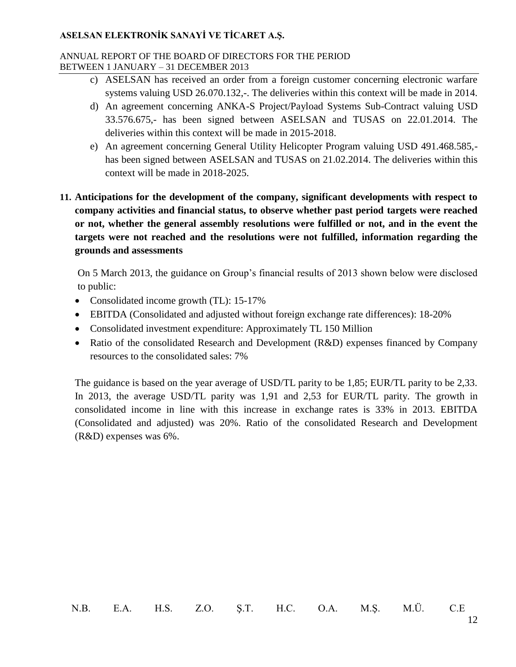#### ANNUAL REPORT OF THE BOARD OF DIRECTORS FOR THE PERIOD BETWEEN 1 JANUARY – 31 DECEMBER 2013

- c) ASELSAN has received an order from a foreign customer concerning electronic warfare systems valuing USD 26.070.132,-. The deliveries within this context will be made in 2014.
- d) An agreement concerning ANKA-S Project/Payload Systems Sub-Contract valuing USD 33.576.675,- has been signed between ASELSAN and TUSAS on 22.01.2014. The deliveries within this context will be made in 2015-2018.
- e) An agreement concerning General Utility Helicopter Program valuing USD 491.468.585, has been signed between ASELSAN and TUSAS on 21.02.2014. The deliveries within this context will be made in 2018-2025.
- **11. Anticipations for the development of the company, significant developments with respect to company activities and financial status, to observe whether past period targets were reached or not, whether the general assembly resolutions were fulfilled or not, and in the event the targets were not reached and the resolutions were not fulfilled, information regarding the grounds and assessments**

On 5 March 2013, the guidance on Group's financial results of 2013 shown below were disclosed to public:

- Consolidated income growth (TL): 15-17%
- EBITDA (Consolidated and adjusted without foreign exchange rate differences): 18-20%
- Consolidated investment expenditure: Approximately TL 150 Million
- Ratio of the consolidated Research and Development (R&D) expenses financed by Company resources to the consolidated sales: 7%

The guidance is based on the year average of USD/TL parity to be 1,85; EUR/TL parity to be 2,33. In 2013, the average USD/TL parity was 1,91 and 2,53 for EUR/TL parity. The growth in consolidated income in line with this increase in exchange rates is 33% in 2013. EBITDA (Consolidated and adjusted) was 20%. Ratio of the consolidated Research and Development (R&D) expenses was 6%.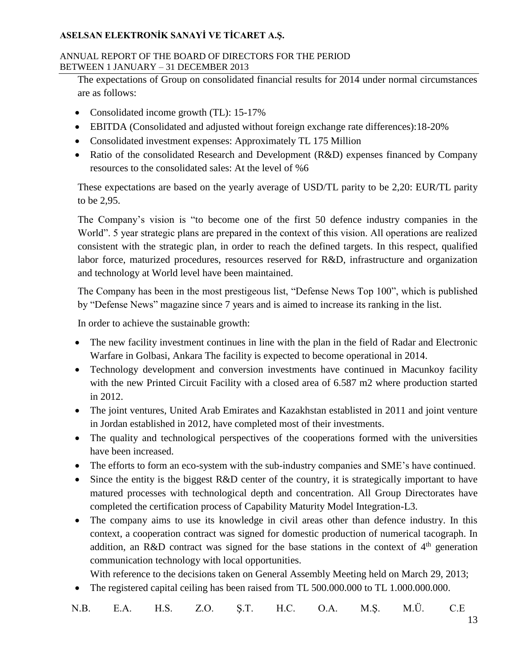#### ANNUAL REPORT OF THE BOARD OF DIRECTORS FOR THE PERIOD BETWEEN 1 JANUARY – 31 DECEMBER 2013

The expectations of Group on consolidated financial results for 2014 under normal circumstances are as follows:

- Consolidated income growth (TL): 15-17%
- EBITDA (Consolidated and adjusted without foreign exchange rate differences):18-20%
- Consolidated investment expenses: Approximately TL 175 Million
- Ratio of the consolidated Research and Development (R&D) expenses financed by Company resources to the consolidated sales: At the level of %6

These expectations are based on the yearly average of USD/TL parity to be 2,20: EUR/TL parity to be 2,95.

The Company's vision is "to become one of the first 50 defence industry companies in the World". 5 year strategic plans are prepared in the context of this vision. All operations are realized consistent with the strategic plan, in order to reach the defined targets. In this respect, qualified labor force, maturized procedures, resources reserved for R&D, infrastructure and organization and technology at World level have been maintained.

The Company has been in the most prestigeous list, "Defense News Top 100", which is published by "Defense News" magazine since 7 years and is aimed to increase its ranking in the list.

In order to achieve the sustainable growth:

- The new facility investment continues in line with the plan in the field of Radar and Electronic Warfare in Golbasi, Ankara The facility is expected to become operational in 2014.
- Technology development and conversion investments have continued in Macunkoy facility with the new Printed Circuit Facility with a closed area of 6.587 m2 where production started in 2012.
- The joint ventures, United Arab Emirates and Kazakhstan establisted in 2011 and joint venture in Jordan established in 2012, have completed most of their investments.
- The quality and technological perspectives of the cooperations formed with the universities have been increased.
- The efforts to form an eco-system with the sub-industry companies and SME's have continued.
- Since the entity is the biggest R&D center of the country, it is strategically important to have matured processes with technological depth and concentration. All Group Directorates have completed the certification process of Capability Maturity Model Integration-L3.
- The company aims to use its knowledge in civil areas other than defence industry. In this context, a cooperation contract was signed for domestic production of numerical tacograph. In addition, an R&D contract was signed for the base stations in the context of  $4<sup>th</sup>$  generation communication technology with local opportunities.

With reference to the decisions taken on General Assembly Meeting held on March 29, 2013;

The registered capital ceiling has been raised from TL 500.000.000 to TL 1.000.000.000.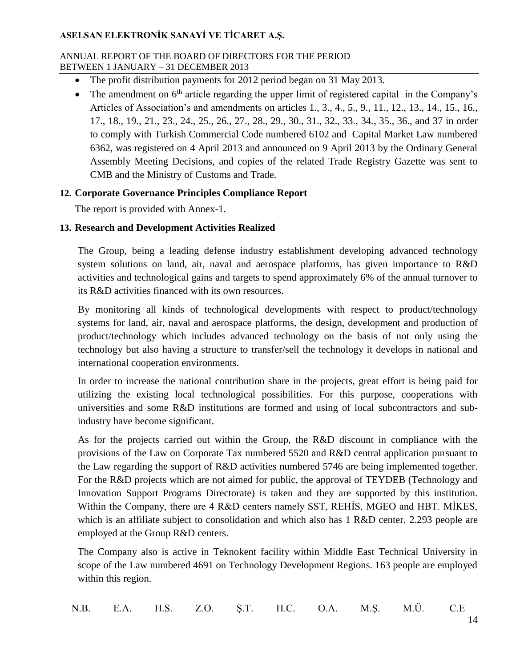#### ANNUAL REPORT OF THE BOARD OF DIRECTORS FOR THE PERIOD BETWEEN 1 JANUARY – 31 DECEMBER 2013

- The profit distribution payments for 2012 period began on 31 May 2013.
- $\bullet$  The amendment on  $6<sup>th</sup>$  article regarding the upper limit of registered capital in the Company's Articles of Association's and amendments on articles 1., 3., 4., 5., 9., 11., 12., 13., 14., 15., 16., 17., 18., 19., 21., 23., 24., 25., 26., 27., 28., 29., 30., 31., 32., 33., 34., 35., 36., and 37 in order to comply with Turkish Commercial Code numbered 6102 and Capital Market Law numbered 6362, was registered on 4 April 2013 and announced on 9 April 2013 by the Ordinary General Assembly Meeting Decisions, and copies of the related Trade Registry Gazette was sent to CMB and the Ministry of Customs and Trade.

## **12. Corporate Governance Principles Compliance Report**

The report is provided with Annex-1.

## **13. Research and Development Activities Realized**

The Group, being a leading defense industry establishment developing advanced technology system solutions on land, air, naval and aerospace platforms, has given importance to R&D activities and technological gains and targets to spend approximately 6% of the annual turnover to its R&D activities financed with its own resources.

By monitoring all kinds of technological developments with respect to product/technology systems for land, air, naval and aerospace platforms, the design, development and production of product/technology which includes advanced technology on the basis of not only using the technology but also having a structure to transfer/sell the technology it develops in national and international cooperation environments.

In order to increase the national contribution share in the projects, great effort is being paid for utilizing the existing local technological possibilities. For this purpose, cooperations with universities and some R&D institutions are formed and using of local subcontractors and subindustry have become significant.

As for the projects carried out within the Group, the R&D discount in compliance with the provisions of the Law on Corporate Tax numbered 5520 and R&D central application pursuant to the Law regarding the support of R&D activities numbered 5746 are being implemented together. For the R&D projects which are not aimed for public, the approval of TEYDEB (Technology and Innovation Support Programs Directorate) is taken and they are supported by this institution. Within the Company, there are 4 R&D centers namely SST, REHİS, MGEO and HBT. MİKES, which is an affiliate subject to consolidation and which also has 1 R&D center. 2.293 people are employed at the Group R&D centers.

The Company also is active in Teknokent facility within Middle East Technical University in scope of the Law numbered 4691 on Technology Development Regions. 163 people are employed within this region.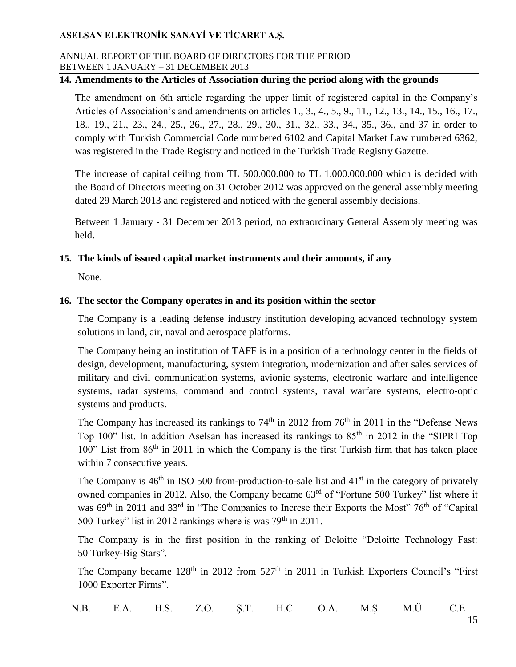#### ANNUAL REPORT OF THE BOARD OF DIRECTORS FOR THE PERIOD BETWEEN 1 JANUARY – 31 DECEMBER 2013

## **14. Amendments to the Articles of Association during the period along with the grounds**

The amendment on 6th article regarding the upper limit of registered capital in the Company's Articles of Association's and amendments on articles 1., 3., 4., 5., 9., 11., 12., 13., 14., 15., 16., 17., 18., 19., 21., 23., 24., 25., 26., 27., 28., 29., 30., 31., 32., 33., 34., 35., 36., and 37 in order to comply with Turkish Commercial Code numbered 6102 and Capital Market Law numbered 6362, was registered in the Trade Registry and noticed in the Turkish Trade Registry Gazette.

The increase of capital ceiling from TL 500.000.000 to TL 1.000.000.000 which is decided with the Board of Directors meeting on 31 October 2012 was approved on the general assembly meeting dated 29 March 2013 and registered and noticed with the general assembly decisions.

Between 1 January - 31 December 2013 period, no extraordinary General Assembly meeting was held.

### **15. The kinds of issued capital market instruments and their amounts, if any**

None.

#### **16. The sector the Company operates in and its position within the sector**

The Company is a leading defense industry institution developing advanced technology system solutions in land, air, naval and aerospace platforms.

The Company being an institution of TAFF is in a position of a technology center in the fields of design, development, manufacturing, system integration, modernization and after sales services of military and civil communication systems, avionic systems, electronic warfare and intelligence systems, radar systems, command and control systems, naval warfare systems, electro-optic systems and products.

The Company has increased its rankings to  $74<sup>th</sup>$  in 2012 from  $76<sup>th</sup>$  in 2011 in the "Defense News Top 100" list. In addition Aselsan has increased its rankings to 85<sup>th</sup> in 2012 in the "SIPRI Top 100" List from  $86<sup>th</sup>$  in 2011 in which the Company is the first Turkish firm that has taken place within 7 consecutive years.

The Company is  $46<sup>th</sup>$  in ISO 500 from-production-to-sale list and  $41<sup>st</sup>$  in the category of privately owned companies in 2012. Also, the Company became 63rd of "Fortune 500 Turkey" list where it was 69<sup>th</sup> in 2011 and 33<sup>rd</sup> in "The Companies to Increse their Exports the Most" 76<sup>th</sup> of "Capital" 500 Turkey" list in 2012 rankings where is was  $79<sup>th</sup>$  in 2011.

The Company is in the first position in the ranking of Deloitte "Deloitte Technology Fast: 50 Turkey-Big Stars".

The Company became  $128<sup>th</sup>$  in  $2012$  from  $527<sup>th</sup>$  in 2011 in Turkish Exporters Council's "First 1000 Exporter Firms".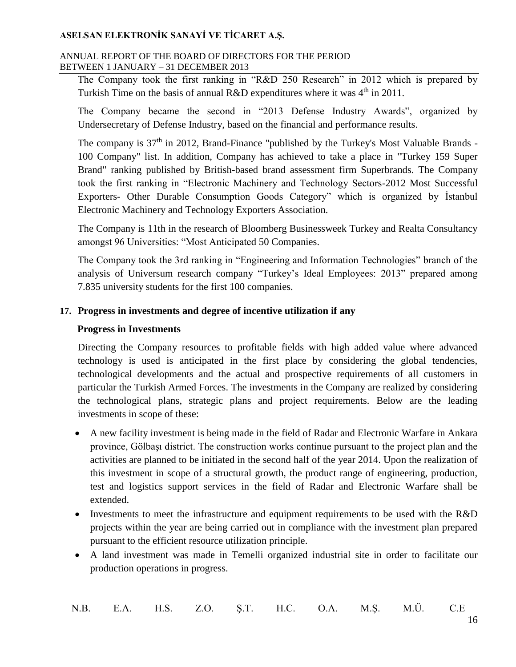#### ANNUAL REPORT OF THE BOARD OF DIRECTORS FOR THE PERIOD BETWEEN 1 JANUARY – 31 DECEMBER 2013

The Company took the first ranking in "R&D 250 Research" in 2012 which is prepared by Turkish Time on the basis of annual R&D expenditures where it was  $4<sup>th</sup>$  in 2011.

The Company became the second in "2013 Defense Industry Awards", organized by Undersecretary of Defense Industry, based on the financial and performance results.

The company is  $37<sup>th</sup>$  in 2012, Brand-Finance "published by the Turkey's Most Valuable Brands -100 Company" list. In addition, Company has achieved to take a place in "Turkey 159 Super Brand" ranking published by British-based brand assessment firm Superbrands. The Company took the first ranking in "Electronic Machinery and Technology Sectors-2012 Most Successful Exporters- Other Durable Consumption Goods Category" which is organized by İstanbul Electronic Machinery and Technology Exporters Association.

The Company is 11th in the research of Bloomberg Businessweek Turkey and Realta Consultancy amongst 96 Universities: "Most Anticipated 50 Companies.

The Company took the 3rd ranking in "Engineering and Information Technologies" branch of the analysis of Universum research company "Turkey's Ideal Employees: 2013" prepared among 7.835 university students for the first 100 companies.

## **17. Progress in investments and degree of incentive utilization if any**

## **Progress in Investments**

Directing the Company resources to profitable fields with high added value where advanced technology is used is anticipated in the first place by considering the global tendencies, technological developments and the actual and prospective requirements of all customers in particular the Turkish Armed Forces. The investments in the Company are realized by considering the technological plans, strategic plans and project requirements. Below are the leading investments in scope of these:

- A new facility investment is being made in the field of Radar and Electronic Warfare in Ankara province, Gölbaşı district. The construction works continue pursuant to the project plan and the activities are planned to be initiated in the second half of the year 2014. Upon the realization of this investment in scope of a structural growth, the product range of engineering, production, test and logistics support services in the field of Radar and Electronic Warfare shall be extended.
- Investments to meet the infrastructure and equipment requirements to be used with the R&D projects within the year are being carried out in compliance with the investment plan prepared pursuant to the efficient resource utilization principle.
- A land investment was made in Temelli organized industrial site in order to facilitate our production operations in progress.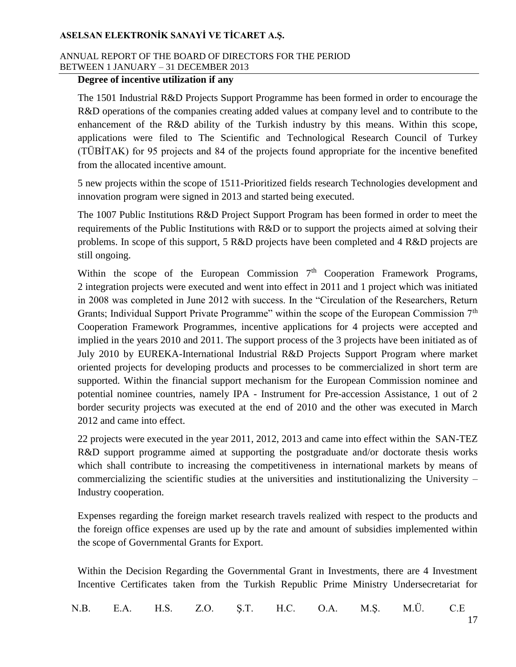### ANNUAL REPORT OF THE BOARD OF DIRECTORS FOR THE PERIOD BETWEEN 1 JANUARY – 31 DECEMBER 2013

### **Degree of incentive utilization if any**

The 1501 Industrial R&D Projects Support Programme has been formed in order to encourage the R&D operations of the companies creating added values at company level and to contribute to the enhancement of the R&D ability of the Turkish industry by this means. Within this scope, applications were filed to The Scientific and Technological Research Council of Turkey (TÜBİTAK) for 95 projects and 84 of the projects found appropriate for the incentive benefited from the allocated incentive amount.

5 new projects within the scope of 1511-Prioritized fields research Technologies development and innovation program were signed in 2013 and started being executed.

The 1007 Public Institutions R&D Project Support Program has been formed in order to meet the requirements of the Public Institutions with R&D or to support the projects aimed at solving their problems. In scope of this support, 5 R&D projects have been completed and 4 R&D projects are still ongoing.

Within the scope of the European Commission  $7<sup>th</sup>$  Cooperation Framework Programs, 2 integration projects were executed and went into effect in 2011 and 1 project which was initiated in 2008 was completed in June 2012 with success. In the "Circulation of the Researchers, Return Grants; Individual Support Private Programme" within the scope of the European Commission 7<sup>th</sup> Cooperation Framework Programmes, incentive applications for 4 projects were accepted and implied in the years 2010 and 2011. The support process of the 3 projects have been initiated as of July 2010 by EUREKA-International Industrial R&D Projects Support Program where market oriented projects for developing products and processes to be commercialized in short term are supported. Within the financial support mechanism for the European Commission nominee and potential nominee countries, namely IPA - Instrument for Pre-accession Assistance, 1 out of 2 border security projects was executed at the end of 2010 and the other was executed in March 2012 and came into effect.

22 projects were executed in the year 2011, 2012, 2013 and came into effect within the SAN-TEZ R&D support programme aimed at supporting the postgraduate and/or doctorate thesis works which shall contribute to increasing the competitiveness in international markets by means of commercializing the scientific studies at the universities and institutionalizing the University – Industry cooperation.

Expenses regarding the foreign market research travels realized with respect to the products and the foreign office expenses are used up by the rate and amount of subsidies implemented within the scope of Governmental Grants for Export.

Within the Decision Regarding the Governmental Grant in Investments, there are 4 Investment Incentive Certificates taken from the Turkish Republic Prime Ministry Undersecretariat for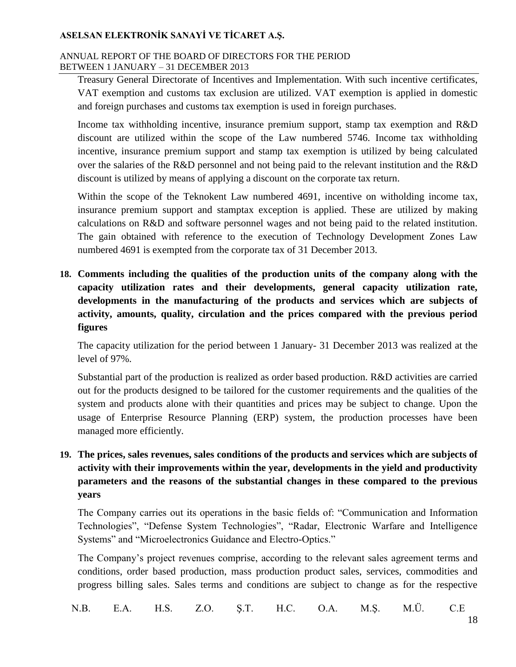#### ANNUAL REPORT OF THE BOARD OF DIRECTORS FOR THE PERIOD BETWEEN 1 JANUARY – 31 DECEMBER 2013

Treasury General Directorate of Incentives and Implementation. With such incentive certificates, VAT exemption and customs tax exclusion are utilized. VAT exemption is applied in domestic and foreign purchases and customs tax exemption is used in foreign purchases.

Income tax withholding incentive, insurance premium support, stamp tax exemption and R&D discount are utilized within the scope of the Law numbered 5746. Income tax withholding incentive, insurance premium support and stamp tax exemption is utilized by being calculated over the salaries of the R&D personnel and not being paid to the relevant institution and the R&D discount is utilized by means of applying a discount on the corporate tax return.

Within the scope of the Teknokent Law numbered 4691, incentive on witholding income tax, insurance premium support and stamptax exception is applied. These are utilized by making calculations on R&D and software personnel wages and not being paid to the related institution. The gain obtained with reference to the execution of Technology Development Zones Law numbered 4691 is exempted from the corporate tax of 31 December 2013.

**18. Comments including the qualities of the production units of the company along with the capacity utilization rates and their developments, general capacity utilization rate, developments in the manufacturing of the products and services which are subjects of activity, amounts, quality, circulation and the prices compared with the previous period figures**

The capacity utilization for the period between 1 January- 31 December 2013 was realized at the level of 97%.

Substantial part of the production is realized as order based production. R&D activities are carried out for the products designed to be tailored for the customer requirements and the qualities of the system and products alone with their quantities and prices may be subject to change. Upon the usage of Enterprise Resource Planning (ERP) system, the production processes have been managed more efficiently.

**19. The prices, sales revenues, sales conditions of the products and services which are subjects of activity with their improvements within the year, developments in the yield and productivity parameters and the reasons of the substantial changes in these compared to the previous years**

The Company carries out its operations in the basic fields of: "Communication and Information Technologies", "Defense System Technologies", "Radar, Electronic Warfare and Intelligence Systems" and "Microelectronics Guidance and Electro-Optics."

The Company's project revenues comprise, according to the relevant sales agreement terms and conditions, order based production, mass production product sales, services, commodities and progress billing sales. Sales terms and conditions are subject to change as for the respective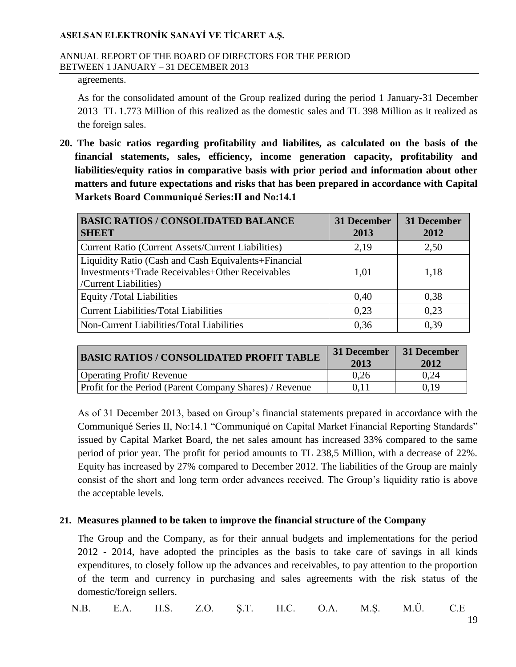#### ANNUAL REPORT OF THE BOARD OF DIRECTORS FOR THE PERIOD BETWEEN 1 JANUARY – 31 DECEMBER 2013

agreements.

As for the consolidated amount of the Group realized during the period 1 January-31 December 2013 TL 1.773 Million of this realized as the domestic sales and TL 398 Million as it realized as the foreign sales.

**20. The basic ratios regarding profitability and liabilites, as calculated on the basis of the financial statements, sales, efficiency, income generation capacity, profitability and liabilities/equity ratios in comparative basis with prior period and information about other matters and future expectations and risks that has been prepared in accordance with Capital Markets Board Communiqué Series:II and No:14.1**

| <b>BASIC RATIOS / CONSOLIDATED BALANCE</b><br><b>SHEET</b>                                                                       | 31 December<br>2013 | <b>31 December</b><br>2012 |
|----------------------------------------------------------------------------------------------------------------------------------|---------------------|----------------------------|
| <b>Current Ratio (Current Assets/Current Liabilities)</b>                                                                        | 2,19                | 2,50                       |
| Liquidity Ratio (Cash and Cash Equivalents+Financial<br>Investments+Trade Receivables+Other Receivables<br>/Current Liabilities) | 1,01                | 1,18                       |
| <b>Equity /Total Liabilities</b>                                                                                                 | 0.40                | 0,38                       |
| <b>Current Liabilities/Total Liabilities</b>                                                                                     | 0.23                | 0,23                       |
| Non-Current Liabilities/Total Liabilities                                                                                        | 0.36                | 0.39                       |

| <b>BASIC RATIOS / CONSOLIDATED PROFIT TABLE</b>         | 31 December<br>2013 | 31 December<br>2012 |
|---------------------------------------------------------|---------------------|---------------------|
| <b>Operating Profit/ Revenue</b>                        | 0.26                | 0.24                |
| Profit for the Period (Parent Company Shares) / Revenue | 0.11                | 0.19                |

As of 31 December 2013, based on Group's financial statements prepared in accordance with the Communiqué Series II, No:14.1 "Communiqué on Capital Market Financial Reporting Standards" issued by Capital Market Board, the net sales amount has increased 33% compared to the same period of prior year. The profit for period amounts to TL 238,5 Million, with a decrease of 22%. Equity has increased by 27% compared to December 2012. The liabilities of the Group are mainly consist of the short and long term order advances received. The Group's liquidity ratio is above the acceptable levels.

### **21. Measures planned to be taken to improve the financial structure of the Company**

The Group and the Company, as for their annual budgets and implementations for the period 2012 - 2014, have adopted the principles as the basis to take care of savings in all kinds expenditures, to closely follow up the advances and receivables, to pay attention to the proportion of the term and currency in purchasing and sales agreements with the risk status of the domestic/foreign sellers.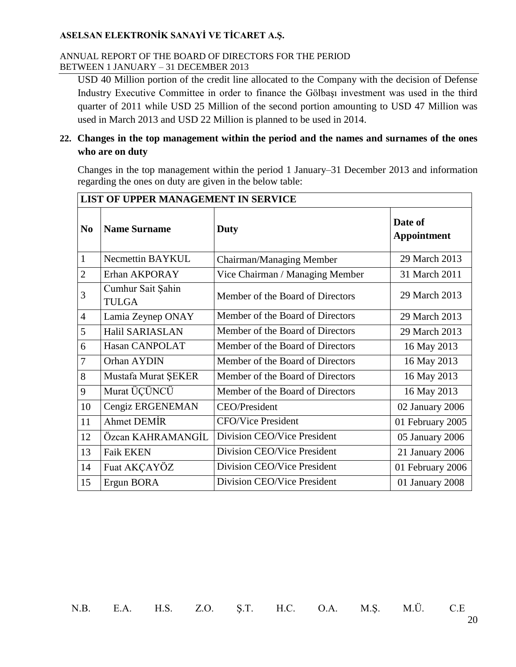#### ANNUAL REPORT OF THE BOARD OF DIRECTORS FOR THE PERIOD BETWEEN 1 JANUARY – 31 DECEMBER 2013

USD 40 Million portion of the credit line allocated to the Company with the decision of Defense Industry Executive Committee in order to finance the Gölbaşı investment was used in the third quarter of 2011 while USD 25 Million of the second portion amounting to USD 47 Million was used in March 2013 and USD 22 Million is planned to be used in 2014.

## **22. Changes in the top management within the period and the names and surnames of the ones who are on duty**

Changes in the top management within the period 1 January–31 December 2013 and information regarding the ones on duty are given in the below table:

|                | LIST OF UPPER MANAGEMENT IN SERVICE |                                  |                               |  |
|----------------|-------------------------------------|----------------------------------|-------------------------------|--|
| N <sub>0</sub> | <b>Name Surname</b>                 | Duty                             | Date of<br><b>Appointment</b> |  |
| $\mathbf{1}$   | Necmettin BAYKUL                    | Chairman/Managing Member         | 29 March 2013                 |  |
| $\overline{2}$ | Erhan AKPORAY                       | Vice Chairman / Managing Member  | 31 March 2011                 |  |
| 3              | Cumhur Sait Şahin<br><b>TULGA</b>   | Member of the Board of Directors | 29 March 2013                 |  |
| $\overline{4}$ | Lamia Zeynep ONAY                   | Member of the Board of Directors | 29 March 2013                 |  |
| 5              | Halil SARIASLAN                     | Member of the Board of Directors | 29 March 2013                 |  |
| 6              | Hasan CANPOLAT                      | Member of the Board of Directors | 16 May 2013                   |  |
| $\overline{7}$ | Orhan AYDIN                         | Member of the Board of Directors | 16 May 2013                   |  |
| 8              | Mustafa Murat ŞEKER                 | Member of the Board of Directors | 16 May 2013                   |  |
| 9              | Murat ÜÇÜNCÜ                        | Member of the Board of Directors | 16 May 2013                   |  |
| 10             | Cengiz ERGENEMAN                    | <b>CEO/President</b>             | 02 January 2006               |  |
| 11             | Ahmet DEMIR                         | <b>CFO/Vice President</b>        | 01 February 2005              |  |
| 12             | Özcan KAHRAMANGİL                   | Division CEO/Vice President      | 05 January 2006               |  |
| 13             | <b>Faik EKEN</b>                    | Division CEO/Vice President      | 21 January 2006               |  |
| 14             | Fuat AKÇAYÖZ                        | Division CEO/Vice President      | 01 February 2006              |  |
| 15             | Ergun BORA                          | Division CEO/Vice President      | 01 January 2008               |  |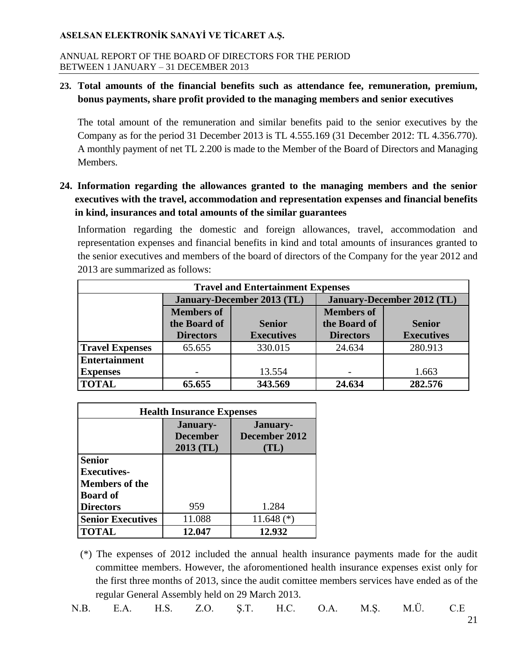#### ANNUAL REPORT OF THE BOARD OF DIRECTORS FOR THE PERIOD BETWEEN 1 JANUARY – 31 DECEMBER 2013

## **23. Total amounts of the financial benefits such as attendance fee, remuneration, premium, bonus payments, share profit provided to the managing members and senior executives**

The total amount of the remuneration and similar benefits paid to the senior executives by the Company as for the period 31 December 2013 is TL 4.555.169 (31 December 2012: TL 4.356.770). A monthly payment of net TL 2.200 is made to the Member of the Board of Directors and Managing Members.

# **24. Information regarding the allowances granted to the managing members and the senior executives with the travel, accommodation and representation expenses and financial benefits in kind, insurances and total amounts of the similar guarantees**

Information regarding the domestic and foreign allowances, travel, accommodation and representation expenses and financial benefits in kind and total amounts of insurances granted to the senior executives and members of the board of directors of the Company for the year 2012 and 2013 are summarized as follows:

| <b>Travel and Entertainment Expenses</b> |                                   |                   |                                   |                   |
|------------------------------------------|-----------------------------------|-------------------|-----------------------------------|-------------------|
|                                          | <b>January-December 2013 (TL)</b> |                   | <b>January-December 2012 (TL)</b> |                   |
|                                          | <b>Members of</b>                 |                   |                                   |                   |
|                                          | the Board of                      | <b>Senior</b>     | the Board of                      | <b>Senior</b>     |
|                                          | <b>Directors</b>                  | <b>Executives</b> | <b>Directors</b>                  | <b>Executives</b> |
| <b>Travel Expenses</b>                   | 65.655                            | 330.015           | 24.634                            | 280.913           |
| <b>Entertainment</b>                     |                                   |                   |                                   |                   |
| <b>Expenses</b>                          |                                   | 13.554            |                                   | 1.663             |
| <b>TOTAL</b>                             | 65.655                            | 343.569           | 24.634                            | 282.576           |

| <b>Health Insurance Expenses</b> |                                            |                                   |  |
|----------------------------------|--------------------------------------------|-----------------------------------|--|
|                                  | January-<br><b>December</b><br>$2013$ (TL) | January-<br>December 2012<br>(TL) |  |
| <b>Senior</b>                    |                                            |                                   |  |
| <b>Executives-</b>               |                                            |                                   |  |
| <b>Members of the</b>            |                                            |                                   |  |
| <b>Board of</b>                  |                                            |                                   |  |
| <b>Directors</b>                 | 959                                        | 1.284                             |  |
| <b>Senior Executives</b>         | 11.088                                     | 11.648 $(*)$                      |  |
| <b>TOTAL</b>                     | 12.047                                     | 12.932                            |  |

<sup>(\*)</sup> The expenses of 2012 included the annual health insurance payments made for the audit committee members. However, the aforomentioned health insurance expenses exist only for the first three months of 2013, since the audit comittee members services have ended as of the regular General Assembly held on 29 March 2013.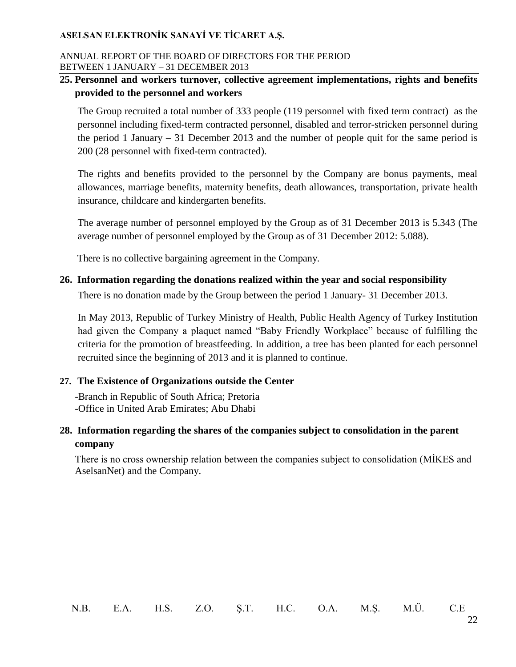#### ANNUAL REPORT OF THE BOARD OF DIRECTORS FOR THE PERIOD BETWEEN 1 JANUARY – 31 DECEMBER 2013

## **25. Personnel and workers turnover, collective agreement implementations, rights and benefits provided to the personnel and workers**

The Group recruited a total number of 333 people (119 personnel with fixed term contract) as the personnel including fixed-term contracted personnel, disabled and terror-stricken personnel during the period 1 January – 31 December 2013 and the number of people quit for the same period is 200 (28 personnel with fixed-term contracted).

The rights and benefits provided to the personnel by the Company are bonus payments, meal allowances, marriage benefits, maternity benefits, death allowances, transportation, private health insurance, childcare and kindergarten benefits.

The average number of personnel employed by the Group as of 31 December 2013 is 5.343 (The average number of personnel employed by the Group as of 31 December 2012: 5.088).

There is no collective bargaining agreement in the Company.

## **26. Information regarding the donations realized within the year and social responsibility**

There is no donation made by the Group between the period 1 January- 31 December 2013.

In May 2013, Republic of Turkey Ministry of Health, Public Health Agency of Turkey Institution had given the Company a plaquet named "Baby Friendly Workplace" because of fulfilling the criteria for the promotion of breastfeeding. In addition, a tree has been planted for each personnel recruited since the beginning of 2013 and it is planned to continue.

## **27. The Existence of Organizations outside the Center**

-Branch in Republic of South Africa; Pretoria -Office in United Arab Emirates; Abu Dhabi

## **28. Information regarding the shares of the companies subject to consolidation in the parent company**

There is no cross ownership relation between the companies subject to consolidation (MİKES and AselsanNet) and the Company.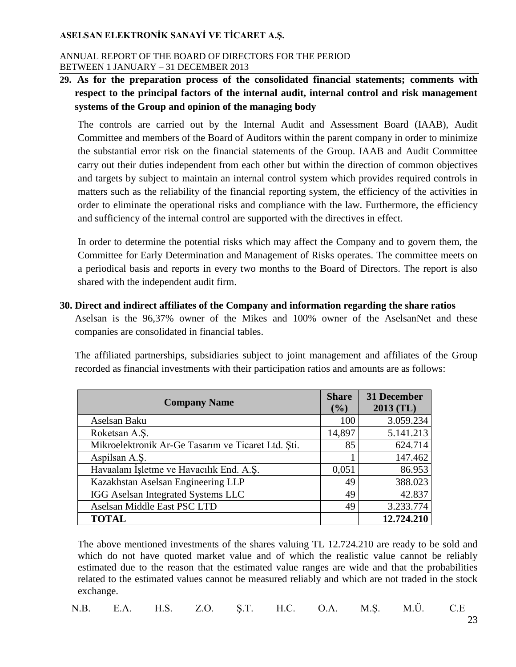#### ANNUAL REPORT OF THE BOARD OF DIRECTORS FOR THE PERIOD BETWEEN 1 JANUARY – 31 DECEMBER 2013

# **29. As for the preparation process of the consolidated financial statements; comments with respect to the principal factors of the internal audit, internal control and risk management systems of the Group and opinion of the managing body**

The controls are carried out by the Internal Audit and Assessment Board (IAAB), Audit Committee and members of the Board of Auditors within the parent company in order to minimize the substantial error risk on the financial statements of the Group. IAAB and Audit Committee carry out their duties independent from each other but within the direction of common objectives and targets by subject to maintain an internal control system which provides required controls in matters such as the reliability of the financial reporting system, the efficiency of the activities in order to eliminate the operational risks and compliance with the law. Furthermore, the efficiency and sufficiency of the internal control are supported with the directives in effect.

In order to determine the potential risks which may affect the Company and to govern them, the Committee for Early Determination and Management of Risks operates. The committee meets on a periodical basis and reports in every two months to the Board of Directors. The report is also shared with the independent audit firm.

**30. Direct and indirect affiliates of the Company and information regarding the share ratios** Aselsan is the 96,37% owner of the Mikes and 100% owner of the AselsanNet and these companies are consolidated in financial tables.

The affiliated partnerships, subsidiaries subject to joint management and affiliates of the Group recorded as financial investments with their participation ratios and amounts are as follows:

| <b>Company Name</b>                                | <b>Share</b><br>$($ %) | 31 December<br>2013 (TL) |
|----------------------------------------------------|------------------------|--------------------------|
| Aselsan Baku                                       | 100                    | 3.059.234                |
| Roketsan A.S.                                      | 14,897                 | 5.141.213                |
| Mikroelektronik Ar-Ge Tasarım ve Ticaret Ltd. Şti. | 85                     | 624.714                  |
| Aspilsan A.S.                                      |                        | 147.462                  |
| Havaalanı İşletme ve Havacılık End. A.Ş.           | 0,051                  | 86.953                   |
| Kazakhstan Aselsan Engineering LLP                 | 49                     | 388.023                  |
| IGG Aselsan Integrated Systems LLC                 | 49                     | 42.837                   |
| Aselsan Middle East PSC LTD                        | 49                     | 3.233.774                |
| <b>TOTAL</b>                                       |                        | 12.724.210               |

The above mentioned investments of the shares valuing TL 12.724.210 are ready to be sold and which do not have quoted market value and of which the realistic value cannot be reliably estimated due to the reason that the estimated value ranges are wide and that the probabilities related to the estimated values cannot be measured reliably and which are not traded in the stock exchange.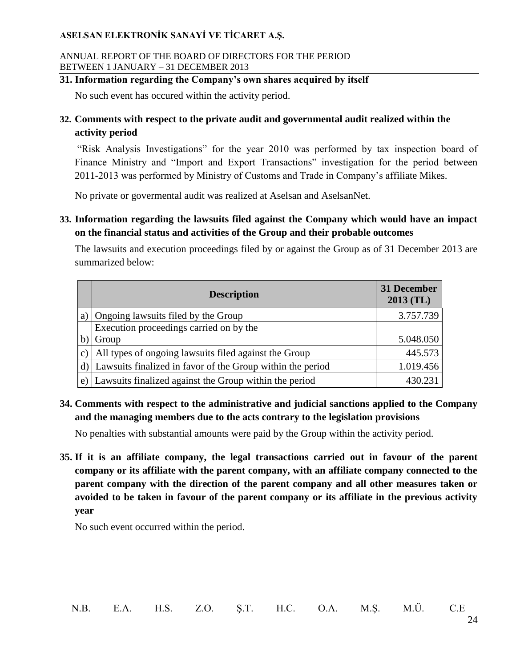#### ANNUAL REPORT OF THE BOARD OF DIRECTORS FOR THE PERIOD BETWEEN 1 JANUARY – 31 DECEMBER 2013

## **31. Information regarding the Company's own shares acquired by itself**

No such event has occured within the activity period.

# **32. Comments with respect to the private audit and governmental audit realized within the activity period**

"Risk Analysis Investigations" for the year 2010 was performed by tax inspection board of Finance Ministry and "Import and Export Transactions" investigation for the period between 2011-2013 was performed by Ministry of Customs and Trade in Company's affiliate Mikes.

No private or govermental audit was realized at Aselsan and AselsanNet.

**33. Information regarding the lawsuits filed against the Company which would have an impact on the financial status and activities of the Group and their probable outcomes**

The lawsuits and execution proceedings filed by or against the Group as of 31 December 2013 are summarized below:

| <b>Description</b>                                            | 31 December<br>$2013$ (TL) |
|---------------------------------------------------------------|----------------------------|
| a) Ongoing lawsuits filed by the Group                        | 3.757.739                  |
| Execution proceedings carried on by the                       |                            |
| Group                                                         | 5.048.050                  |
| All types of ongoing lawsuits filed against the Group         | 445.573                    |
| d) Lawsuits finalized in favor of the Group within the period | 1.019.456                  |
| e) Lawsuits finalized against the Group within the period     | 430.231                    |

**34. Comments with respect to the administrative and judicial sanctions applied to the Company and the managing members due to the acts contrary to the legislation provisions**

No penalties with substantial amounts were paid by the Group within the activity period.

**35. If it is an affiliate company, the legal transactions carried out in favour of the parent company or its affiliate with the parent company, with an affiliate company connected to the parent company with the direction of the parent company and all other measures taken or avoided to be taken in favour of the parent company or its affiliate in the previous activity year**

No such event occurred within the period.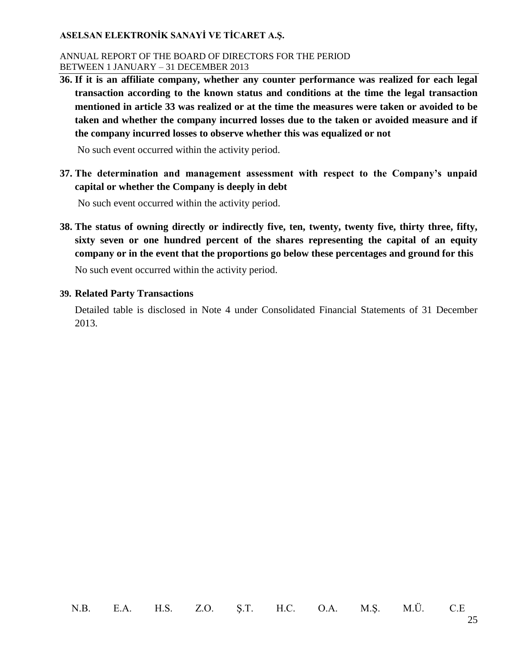#### ANNUAL REPORT OF THE BOARD OF DIRECTORS FOR THE PERIOD BETWEEN 1 JANUARY – 31 DECEMBER 2013

**36. If it is an affiliate company, whether any counter performance was realized for each legal transaction according to the known status and conditions at the time the legal transaction mentioned in article 33 was realized or at the time the measures were taken or avoided to be taken and whether the company incurred losses due to the taken or avoided measure and if the company incurred losses to observe whether this was equalized or not**

No such event occurred within the activity period.

**37. The determination and management assessment with respect to the Company's unpaid capital or whether the Company is deeply in debt**

No such event occurred within the activity period.

**38. The status of owning directly or indirectly five, ten, twenty, twenty five, thirty three, fifty, sixty seven or one hundred percent of the shares representing the capital of an equity company or in the event that the proportions go below these percentages and ground for this**

No such event occurred within the activity period.

#### **39. Related Party Transactions**

Detailed table is disclosed in Note 4 under Consolidated Financial Statements of 31 December 2013.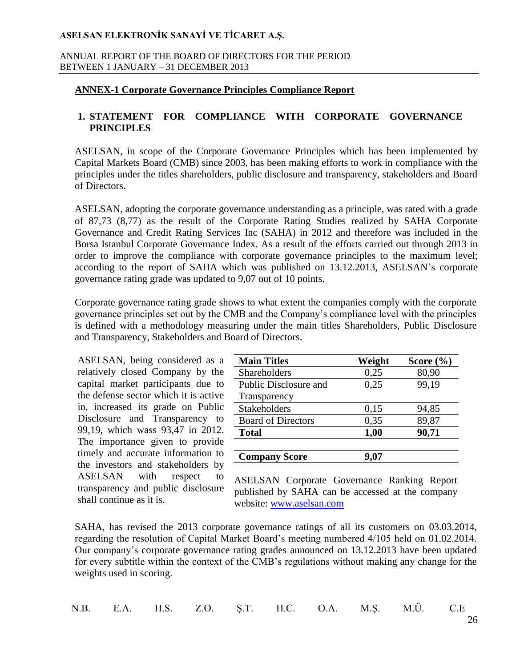#### ANNUAL REPORT OF THE BOARD OF DIRECTORS FOR THE PERIOD BETWEEN 1 JANUARY – 31 DECEMBER 2013

## **ANNEX-1 Corporate Governance Principles Compliance Report**

### **1. STATEMENT FOR COMPLIANCE WITH CORPORATE GOVERNANCE PRINCIPLES**

ASELSAN, in scope of the Corporate Governance Principles which has been implemented by Capital Markets Board (CMB) since 2003, has been making efforts to work in compliance with the principles under the titles shareholders, public disclosure and transparency, stakeholders and Board of Directors.

ASELSAN, adopting the corporate governance understanding as a principle, was rated with a grade of 87,73 (8,77) as the result of the Corporate Rating Studies realized by SAHA Corporate Governance and Credit Rating Services Inc (SAHA) in 2012 and therefore was included in the Borsa Istanbul Corporate Governance Index. As a result of the efforts carried out through 2013 in order to improve the compliance with corporate governance principles to the maximum level; according to the report of SAHA which was published on 13.12.2013, ASELSAN's corporate governance rating grade was updated to 9,07 out of 10 points.

Corporate governance rating grade shows to what extent the companies comply with the corporate governance principles set out by the CMB and the Company's compliance level with the principles is defined with a methodology measuring under the main titles Shareholders, Public Disclosure and Transparency, Stakeholders and Board of Directors.

ASELSAN, being considered as a relatively closed Company by the capital market participants due to the defense sector which it is active in, increased its grade on Public Disclosure and Transparency to 99,19, which wass 93,47 in 2012. The importance given to provide timely and accurate information to the investors and stakeholders by ASELSAN with respect to transparency and public disclosure shall continue as it is.

| <b>Main Titles</b>           | Weight | Score $(\% )$ |
|------------------------------|--------|---------------|
| Shareholders                 | 0,25   | 80,90         |
| <b>Public Disclosure and</b> | 0.25   | 99,19         |
| Transparency                 |        |               |
| <b>Stakeholders</b>          | 0,15   | 94,85         |
| <b>Board of Directors</b>    | 0,35   | 89,87         |
| <b>Total</b>                 | 1,00   | 90,71         |
|                              |        |               |
| <b>Company Score</b>         | 9,07   |               |

ASELSAN Corporate Governance Ranking Report published by SAHA can be accessed at the company website: [www.aselsan.com](http://www.aselsan.com/)

SAHA, has revised the 2013 corporate governance ratings of all its customers on 03.03.2014, regarding the resolution of Capital Market Board's meeting numbered 4/105 held on 01.02.2014. Our company's corporate governance rating grades announced on 13.12.2013 have been updated for every subtitle within the context of the CMB's regulations without making any change for the weights used in scoring.

| N.B. E.A. H.S. Z.O. Ş.T. H.C. O.A. M.Ş. M.Ü. C.E |  |  |  |  |  |  |  |  |  |
|--------------------------------------------------|--|--|--|--|--|--|--|--|--|
|--------------------------------------------------|--|--|--|--|--|--|--|--|--|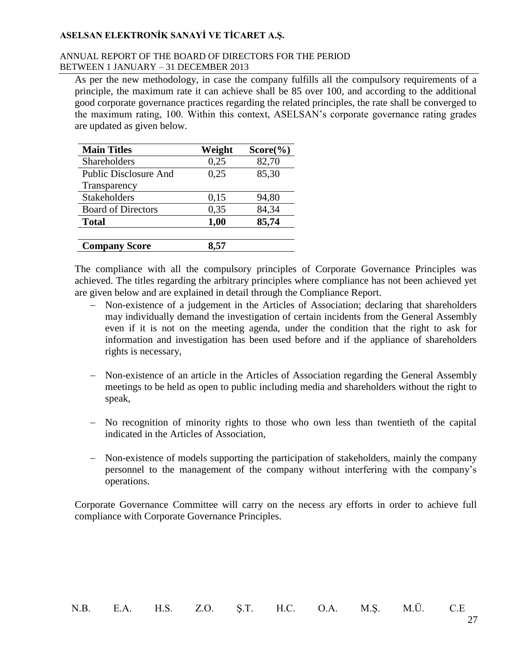#### ANNUAL REPORT OF THE BOARD OF DIRECTORS FOR THE PERIOD BETWEEN 1 JANUARY – 31 DECEMBER 2013

As per the new methodology, in case the company fulfills all the compulsory requirements of a principle, the maximum rate it can achieve shall be 85 over 100, and according to the additional good corporate governance practices regarding the related principles, the rate shall be converged to the maximum rating, 100. Within this context, ASELSAN's corporate governance rating grades are updated as given below.

| <b>Main Titles</b>           | Weight | $Score(\%)$ |
|------------------------------|--------|-------------|
| <b>Shareholders</b>          | 0,25   | 82,70       |
| <b>Public Disclosure And</b> | 0.25   | 85,30       |
| Transparency                 |        |             |
| Stakeholders                 | 0,15   | 94,80       |
| <b>Board of Directors</b>    | 0,35   | 84,34       |
| <b>Total</b>                 | 1,00   | 85,74       |
|                              |        |             |
| <b>Company Score</b>         | 8.57   |             |

The compliance with all the compulsory principles of Corporate Governance Principles was achieved. The titles regarding the arbitrary principles where compliance has not been achieved yet are given below and are explained in detail through the Compliance Report.

- Non-existence of a judgement in the Articles of Association; declaring that shareholders may individually demand the investigation of certain incidents from the General Assembly even if it is not on the meeting agenda, under the condition that the right to ask for information and investigation has been used before and if the appliance of shareholders rights is necessary,
- Non-existence of an article in the Articles of Association regarding the General Assembly meetings to be held as open to public including media and shareholders without the right to speak,
- No recognition of minority rights to those who own less than twentieth of the capital indicated in the Articles of Association,
- Non-existence of models supporting the participation of stakeholders, mainly the company personnel to the management of the company without interfering with the company's operations.

Corporate Governance Committee will carry on the necess ary efforts in order to achieve full compliance with Corporate Governance Principles.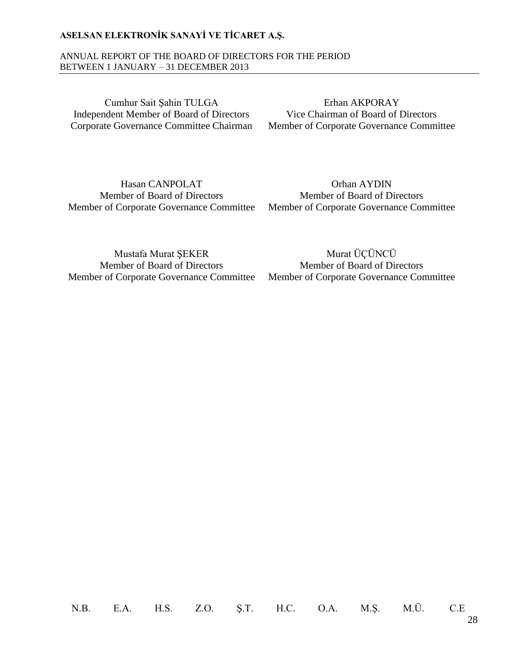#### ANNUAL REPORT OF THE BOARD OF DIRECTORS FOR THE PERIOD BETWEEN 1 JANUARY – 31 DECEMBER 2013

Cumhur Sait Şahin TULGA Independent Member of Board of Directors Corporate Governance Committee Chairman

Erhan AKPORAY Vice Chairman of Board of Directors Member of Corporate Governance Committee

Hasan CANPOLAT Member of Board of Directors Member of Corporate Governance Committee

Orhan AYDIN Member of Board of Directors Member of Corporate Governance Committee

Mustafa Murat ŞEKER Member of Board of Directors Member of Corporate Governance Committee

Murat ÜÇÜNCÜ Member of Board of Directors Member of Corporate Governance Committee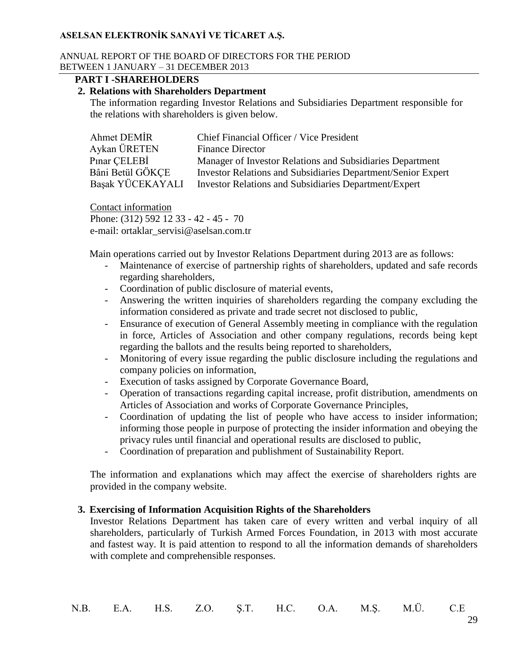#### ANNUAL REPORT OF THE BOARD OF DIRECTORS FOR THE PERIOD BETWEEN 1 JANUARY – 31 DECEMBER 2013

### **PART I -SHAREHOLDERS**

#### **2. Relations with Shareholders Department**

The information regarding Investor Relations and Subsidiaries Department responsible for the relations with shareholders is given below.

| Ahmet DEMIR      | Chief Financial Officer / Vice President                            |
|------------------|---------------------------------------------------------------------|
| Aykan ÜRETEN     | <b>Finance Director</b>                                             |
| Pinar CELEBİ     | Manager of Investor Relations and Subsidiaries Department           |
| Bâni Betül GÖKCE | <b>Investor Relations and Subsidiaries Department/Senior Expert</b> |
| Basak YÜCEKAYALI | Investor Relations and Subsidiaries Department/Expert               |

Contact information Phone: (312) 592 12 33 - 42 - 45 - 70 e-mail: ortaklar\_servisi@aselsan.com.tr

Main operations carried out by Investor Relations Department during 2013 are as follows:

- Maintenance of exercise of partnership rights of shareholders, updated and safe records regarding shareholders,
- Coordination of public disclosure of material events,
- Answering the written inquiries of shareholders regarding the company excluding the information considered as private and trade secret not disclosed to public,
- Ensurance of execution of General Assembly meeting in compliance with the regulation in force, Articles of Association and other company regulations, records being kept regarding the ballots and the results being reported to shareholders,
- Monitoring of every issue regarding the public disclosure including the regulations and company policies on information,
- Execution of tasks assigned by Corporate Governance Board,
- Operation of transactions regarding capital increase, profit distribution, amendments on Articles of Association and works of Corporate Governance Principles,
- Coordination of updating the list of people who have access to insider information; informing those people in purpose of protecting the insider information and obeying the privacy rules until financial and operational results are disclosed to public,
- Coordination of preparation and publishment of Sustainability Report.

The information and explanations which may affect the exercise of shareholders rights are provided in the company website.

### **3. Exercising of Information Acquisition Rights of the Shareholders**

Investor Relations Department has taken care of every written and verbal inquiry of all shareholders, particularly of Turkish Armed Forces Foundation, in 2013 with most accurate and fastest way. It is paid attention to respond to all the information demands of shareholders with complete and comprehensible responses.

| N.B. E.A. H.S. Z.O. Ş.T. H.C. O.A. M.Ş. M.Ü. C.E |  |  |  |  |  |  |  |  |
|--------------------------------------------------|--|--|--|--|--|--|--|--|
|--------------------------------------------------|--|--|--|--|--|--|--|--|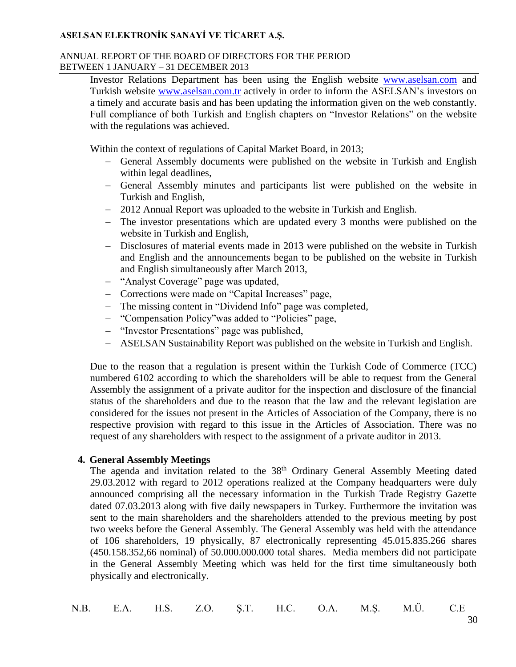#### ANNUAL REPORT OF THE BOARD OF DIRECTORS FOR THE PERIOD BETWEEN 1 JANUARY – 31 DECEMBER 2013

Investor Relations Department has been using the English website [www.aselsan.com](http://www.aselsan.com/) and Turkish website [www.aselsan.com.tr](http://www.aselsan.com.tr/) actively in order to inform the ASELSAN's investors on a timely and accurate basis and has been updating the information given on the web constantly. Full compliance of both Turkish and English chapters on "Investor Relations" on the website with the regulations was achieved.

Within the context of regulations of Capital Market Board, in 2013;

- General Assembly documents were published on the website in Turkish and English within legal deadlines,
- General Assembly minutes and participants list were published on the website in Turkish and English,
- 2012 Annual Report was uploaded to the website in Turkish and English.
- The investor presentations which are updated every 3 months were published on the website in Turkish and English,
- Disclosures of material events made in 2013 were published on the website in Turkish and English and the announcements began to be published on the website in Turkish and English simultaneously after March 2013,
- "Analyst Coverage" page was updated,
- Corrections were made on "Capital Increases" page,
- The missing content in "Dividend Info" page was completed,
- "Compensation Policy" was added to "Policies" page,
- "Investor Presentations" page was published,
- ASELSAN Sustainability Report was published on the website in Turkish and English.

Due to the reason that a regulation is present within the Turkish Code of Commerce (TCC) numbered 6102 according to which the shareholders will be able to request from the General Assembly the assignment of a private auditor for the inspection and disclosure of the financial status of the shareholders and due to the reason that the law and the relevant legislation are considered for the issues not present in the Articles of Association of the Company, there is no respective provision with regard to this issue in the Articles of Association. There was no request of any shareholders with respect to the assignment of a private auditor in 2013.

### **4. General Assembly Meetings**

The agenda and invitation related to the 38<sup>th</sup> Ordinary General Assembly Meeting dated 29.03.2012 with regard to 2012 operations realized at the Company headquarters were duly announced comprising all the necessary information in the Turkish Trade Registry Gazette dated 07.03.2013 along with five daily newspapers in Turkey. Furthermore the invitation was sent to the main shareholders and the shareholders attended to the previous meeting by post two weeks before the General Assembly. The General Assembly was held with the attendance of 106 shareholders, 19 physically, 87 electronically representing 45.015.835.266 shares (450.158.352,66 nominal) of 50.000.000.000 total shares. Media members did not participate in the General Assembly Meeting which was held for the first time simultaneously both physically and electronically.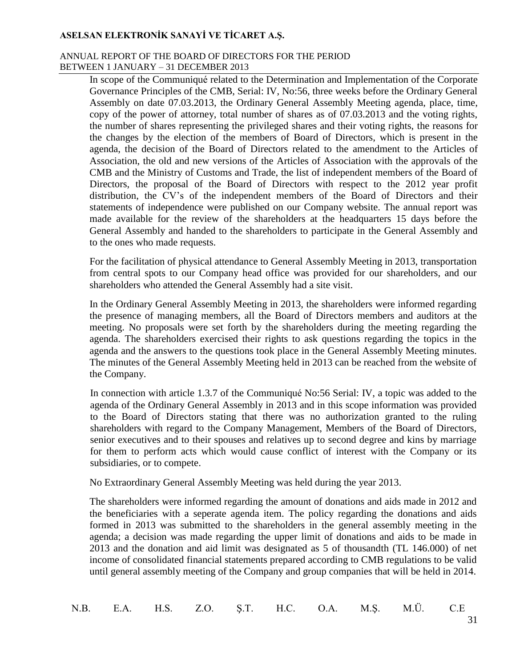#### ANNUAL REPORT OF THE BOARD OF DIRECTORS FOR THE PERIOD BETWEEN 1 JANUARY – 31 DECEMBER 2013

In scope of the Communiqué related to the Determination and Implementation of the Corporate Governance Principles of the CMB, Serial: IV, No:56, three weeks before the Ordinary General Assembly on date 07.03.2013, the Ordinary General Assembly Meeting agenda, place, time, copy of the power of attorney, total number of shares as of 07.03.2013 and the voting rights, the number of shares representing the privileged shares and their voting rights, the reasons for the changes by the election of the members of Board of Directors, which is present in the agenda, the decision of the Board of Directors related to the amendment to the Articles of Association, the old and new versions of the Articles of Association with the approvals of the CMB and the Ministry of Customs and Trade, the list of independent members of the Board of Directors, the proposal of the Board of Directors with respect to the 2012 year profit distribution, the CV's of the independent members of the Board of Directors and their statements of independence were published on our Company website. The annual report was made available for the review of the shareholders at the headquarters 15 days before the General Assembly and handed to the shareholders to participate in the General Assembly and to the ones who made requests.

For the facilitation of physical attendance to General Assembly Meeting in 2013, transportation from central spots to our Company head office was provided for our shareholders, and our shareholders who attended the General Assembly had a site visit.

In the Ordinary General Assembly Meeting in 2013, the shareholders were informed regarding the presence of managing members, all the Board of Directors members and auditors at the meeting. No proposals were set forth by the shareholders during the meeting regarding the agenda. The shareholders exercised their rights to ask questions regarding the topics in the agenda and the answers to the questions took place in the General Assembly Meeting minutes. The minutes of the General Assembly Meeting held in 2013 can be reached from the website of the Company.

In connection with article 1.3.7 of the Communiqué No:56 Serial: IV, a topic was added to the agenda of the Ordinary General Assembly in 2013 and in this scope information was provided to the Board of Directors stating that there was no authorization granted to the ruling shareholders with regard to the Company Management, Members of the Board of Directors, senior executives and to their spouses and relatives up to second degree and kins by marriage for them to perform acts which would cause conflict of interest with the Company or its subsidiaries, or to compete.

No Extraordinary General Assembly Meeting was held during the year 2013.

The shareholders were informed regarding the amount of donations and aids made in 2012 and the beneficiaries with a seperate agenda item. The policy regarding the donations and aids formed in 2013 was submitted to the shareholders in the general assembly meeting in the agenda; a decision was made regarding the upper limit of donations and aids to be made in 2013 and the donation and aid limit was designated as 5 of thousandth (TL 146.000) of net income of consolidated financial statements prepared according to CMB regulations to be valid until general assembly meeting of the Company and group companies that will be held in 2014.

|  |  |  |  |  |  |  |  | N.B. E.A. H.S. Z.O. Ş.T. H.C. O.A. M.Ş. M.Ü. C.E |  |
|--|--|--|--|--|--|--|--|--------------------------------------------------|--|
|--|--|--|--|--|--|--|--|--------------------------------------------------|--|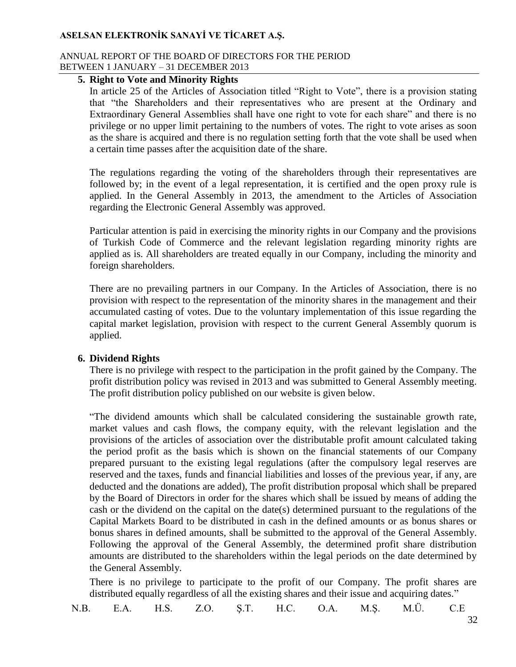#### ANNUAL REPORT OF THE BOARD OF DIRECTORS FOR THE PERIOD BETWEEN 1 JANUARY – 31 DECEMBER 2013

## **5. Right to Vote and Minority Rights**

In article 25 of the Articles of Association titled "Right to Vote", there is a provision stating that "the Shareholders and their representatives who are present at the Ordinary and Extraordinary General Assemblies shall have one right to vote for each share" and there is no privilege or no upper limit pertaining to the numbers of votes. The right to vote arises as soon as the share is acquired and there is no regulation setting forth that the vote shall be used when a certain time passes after the acquisition date of the share.

The regulations regarding the voting of the shareholders through their representatives are followed by; in the event of a legal representation, it is certified and the open proxy rule is applied. In the General Assembly in 2013, the amendment to the Articles of Association regarding the Electronic General Assembly was approved.

Particular attention is paid in exercising the minority rights in our Company and the provisions of Turkish Code of Commerce and the relevant legislation regarding minority rights are applied as is. All shareholders are treated equally in our Company, including the minority and foreign shareholders.

There are no prevailing partners in our Company. In the Articles of Association, there is no provision with respect to the representation of the minority shares in the management and their accumulated casting of votes. Due to the voluntary implementation of this issue regarding the capital market legislation, provision with respect to the current General Assembly quorum is applied.

## **6. Dividend Rights**

There is no privilege with respect to the participation in the profit gained by the Company. The profit distribution policy was revised in 2013 and was submitted to General Assembly meeting. The profit distribution policy published on our website is given below.

"The dividend amounts which shall be calculated considering the sustainable growth rate, market values and cash flows, the company equity, with the relevant legislation and the provisions of the articles of association over the distributable profit amount calculated taking the period profit as the basis which is shown on the financial statements of our Company prepared pursuant to the existing legal regulations (after the compulsory legal reserves are reserved and the taxes, funds and financial liabilities and losses of the previous year, if any, are deducted and the donations are added), The profit distribution proposal which shall be prepared by the Board of Directors in order for the shares which shall be issued by means of adding the cash or the dividend on the capital on the date(s) determined pursuant to the regulations of the Capital Markets Board to be distributed in cash in the defined amounts or as bonus shares or bonus shares in defined amounts, shall be submitted to the approval of the General Assembly. Following the approval of the General Assembly, the determined profit share distribution amounts are distributed to the shareholders within the legal periods on the date determined by the General Assembly.

There is no privilege to participate to the profit of our Company. The profit shares are distributed equally regardless of all the existing shares and their issue and acquiring dates."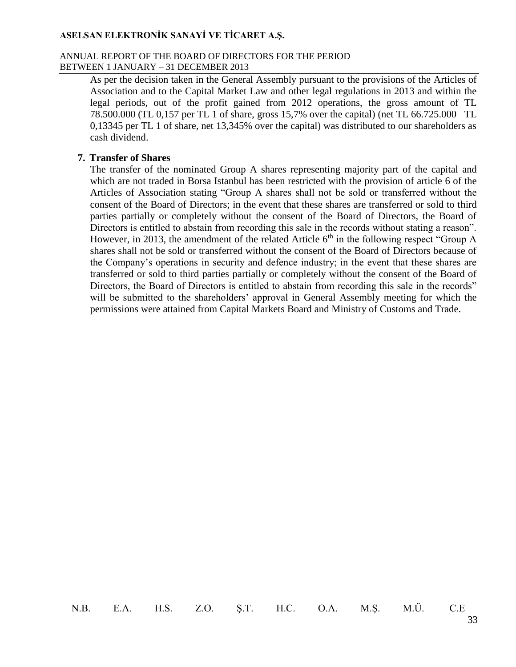#### ANNUAL REPORT OF THE BOARD OF DIRECTORS FOR THE PERIOD BETWEEN 1 JANUARY – 31 DECEMBER 2013

As per the decision taken in the General Assembly pursuant to the provisions of the Articles of Association and to the Capital Market Law and other legal regulations in 2013 and within the legal periods, out of the profit gained from 2012 operations, the gross amount of TL 78.500.000 (TL 0,157 per TL 1 of share, gross 15,7% over the capital) (net TL 66.725.000– TL 0,13345 per TL 1 of share, net 13,345% over the capital) was distributed to our shareholders as cash dividend.

#### **7. Transfer of Shares**

The transfer of the nominated Group A shares representing majority part of the capital and which are not traded in Borsa Istanbul has been restricted with the provision of article 6 of the Articles of Association stating "Group A shares shall not be sold or transferred without the consent of the Board of Directors; in the event that these shares are transferred or sold to third parties partially or completely without the consent of the Board of Directors, the Board of Directors is entitled to abstain from recording this sale in the records without stating a reason". However, in 2013, the amendment of the related Article  $6<sup>th</sup>$  in the following respect "Group A shares shall not be sold or transferred without the consent of the Board of Directors because of the Company's operations in security and defence industry; in the event that these shares are transferred or sold to third parties partially or completely without the consent of the Board of Directors, the Board of Directors is entitled to abstain from recording this sale in the records" will be submitted to the shareholders' approval in General Assembly meeting for which the permissions were attained from Capital Markets Board and Ministry of Customs and Trade.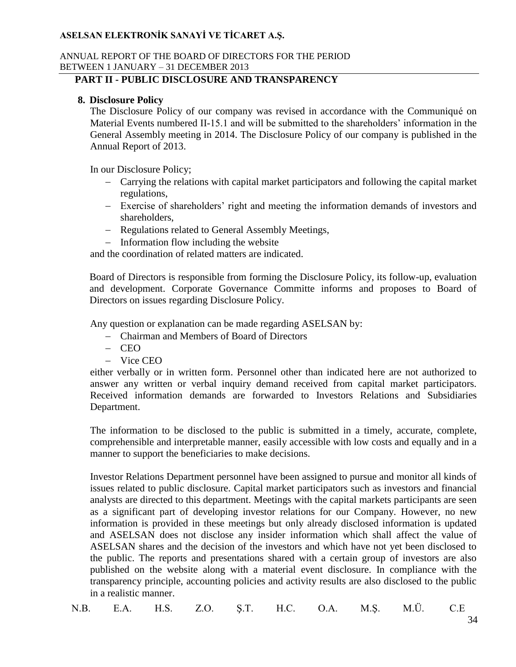#### ANNUAL REPORT OF THE BOARD OF DIRECTORS FOR THE PERIOD BETWEEN 1 JANUARY – 31 DECEMBER 2013

### **PART II - PUBLIC DISCLOSURE AND TRANSPARENCY**

### **8. Disclosure Policy**

The Disclosure Policy of our company was revised in accordance with the Communiqué on Material Events numbered II-15.1 and will be submitted to the shareholders' information in the General Assembly meeting in 2014. The Disclosure Policy of our company is published in the Annual Report of 2013.

In our Disclosure Policy;

- Carrying the relations with capital market participators and following the capital market regulations,
- Exercise of shareholders' right and meeting the information demands of investors and shareholders,
- Regulations related to General Assembly Meetings,
- $-I$ nformation flow including the website

and the coordination of related matters are indicated.

Board of Directors is responsible from forming the Disclosure Policy, its follow-up, evaluation and development. Corporate Governance Committe informs and proposes to Board of Directors on issues regarding Disclosure Policy.

Any question or explanation can be made regarding ASELSAN by:

- Chairman and Members of Board of Directors
- $-$  CEO
- Vice CEO

either verbally or in written form. Personnel other than indicated here are not authorized to answer any written or verbal inquiry demand received from capital market participators. Received information demands are forwarded to Investors Relations and Subsidiaries Department.

The information to be disclosed to the public is submitted in a timely, accurate, complete, comprehensible and interpretable manner, easily accessible with low costs and equally and in a manner to support the beneficiaries to make decisions.

Investor Relations Department personnel have been assigned to pursue and monitor all kinds of issues related to public disclosure. Capital market participators such as investors and financial analysts are directed to this department. Meetings with the capital markets participants are seen as a significant part of developing investor relations for our Company. However, no new information is provided in these meetings but only already disclosed information is updated and ASELSAN does not disclose any insider information which shall affect the value of ASELSAN shares and the decision of the investors and which have not yet been disclosed to the public. The reports and presentations shared with a certain group of investors are also published on the website along with a material event disclosure. In compliance with the transparency principle, accounting policies and activity results are also disclosed to the public in a realistic manner.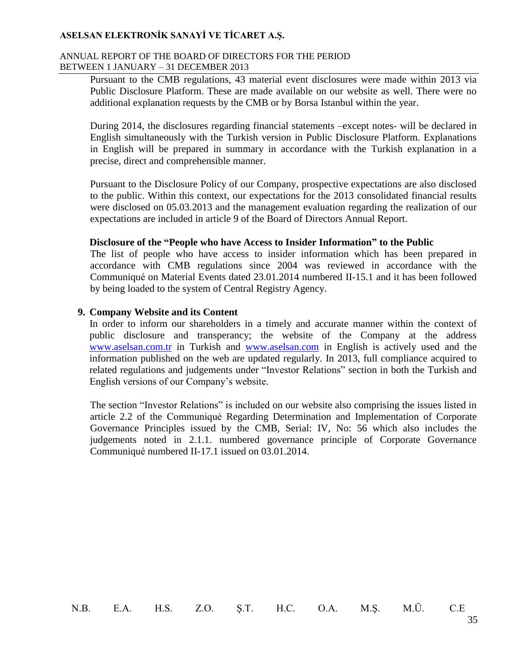#### ANNUAL REPORT OF THE BOARD OF DIRECTORS FOR THE PERIOD BETWEEN 1 JANUARY – 31 DECEMBER 2013

Pursuant to the CMB regulations, 43 material event disclosures were made within 2013 via Public Disclosure Platform. These are made available on our website as well. There were no additional explanation requests by the CMB or by Borsa Istanbul within the year.

During 2014, the disclosures regarding financial statements –except notes- will be declared in English simultaneously with the Turkish version in Public Disclosure Platform. Explanations in English will be prepared in summary in accordance with the Turkish explanation in a precise, direct and comprehensible manner.

Pursuant to the Disclosure Policy of our Company, prospective expectations are also disclosed to the public. Within this context, our expectations for the 2013 consolidated financial results were disclosed on 05.03.2013 and the management evaluation regarding the realization of our expectations are included in article 9 of the Board of Directors Annual Report.

#### **Disclosure of the "People who have Access to Insider Information" to the Public**

The list of people who have access to insider information which has been prepared in accordance with CMB regulations since 2004 was reviewed in accordance with the Communiqué on Material Events dated 23.01.2014 numbered II-15.1 and it has been followed by being loaded to the system of Central Registry Agency.

#### **9. Company Website and its Content**

In order to inform our shareholders in a timely and accurate manner within the context of public disclosure and transperancy; the website of the Company at the address [www.aselsan.com.tr](http://www.aselsan.com.tr/) in Turkish and [www.aselsan.com](http://www.aselsan.com/) in English is actively used and the information published on the web are updated regularly. In 2013, full compliance acquired to related regulations and judgements under "Investor Relations" section in both the Turkish and English versions of our Company's website.

The section "Investor Relations" is included on our website also comprising the issues listed in article 2.2 of the Communiqué Regarding Determination and Implementation of Corporate Governance Principles issued by the CMB, Serial: IV, No: 56 which also includes the judgements noted in 2.1.1. numbered governance principle of Corporate Governance Communiqué numbered II-17.1 issued on 03.01.2014.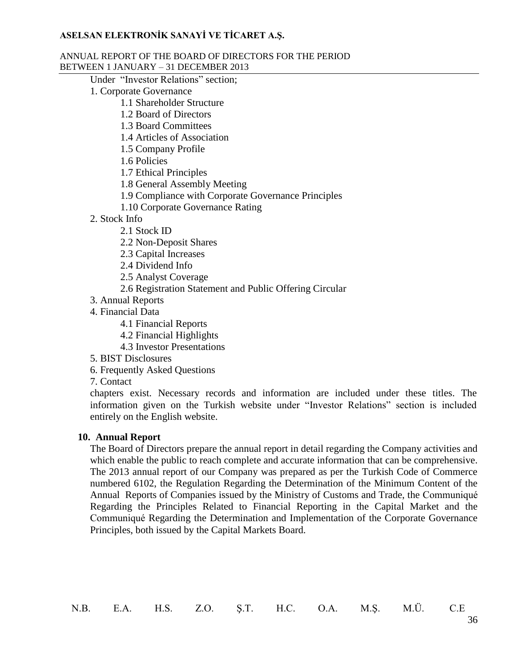#### ANNUAL REPORT OF THE BOARD OF DIRECTORS FOR THE PERIOD BETWEEN 1 JANUARY – 31 DECEMBER 2013

Under "Investor Relations" section;

- 1. Corporate Governance
	- 1.1 Shareholder Structure
		- 1.2 Board of Directors
		- 1.3 Board Committees
		- 1.4 Articles of Association
		- 1.5 Company Profile
		- 1.6 Policies
		- 1.7 Ethical Principles
		- 1.8 General Assembly Meeting
		- 1.9 Compliance with Corporate Governance Principles
		- 1.10 Corporate Governance Rating
- 2. Stock Info
	- 2.1 Stock ID
	- 2.2 Non-Deposit Shares
	- 2.3 Capital Increases
	- 2.4 Dividend Info
	- 2.5 Analyst Coverage
	- 2.6 Registration Statement and Public Offering Circular
- 3. Annual Reports
- 4. Financial Data
	- 4.1 Financial Reports
	- 4.2 Financial Highlights
	- 4.3 Investor Presentations
- 5. BIST Disclosures
- 6. Frequently Asked Questions
- 7. Contact

chapters exist. Necessary records and information are included under these titles. The information given on the Turkish website under "Investor Relations" section is included entirely on the English website.

#### **10. Annual Report**

The Board of Directors prepare the annual report in detail regarding the Company activities and which enable the public to reach complete and accurate information that can be comprehensive. The 2013 annual report of our Company was prepared as per the Turkish Code of Commerce numbered 6102, the Regulation Regarding the Determination of the Minimum Content of the Annual Reports of Companies issued by the Ministry of Customs and Trade, the Communiqué Regarding the Principles Related to Financial Reporting in the Capital Market and the Communiqué Regarding the Determination and Implementation of the Corporate Governance Principles, both issued by the Capital Markets Board.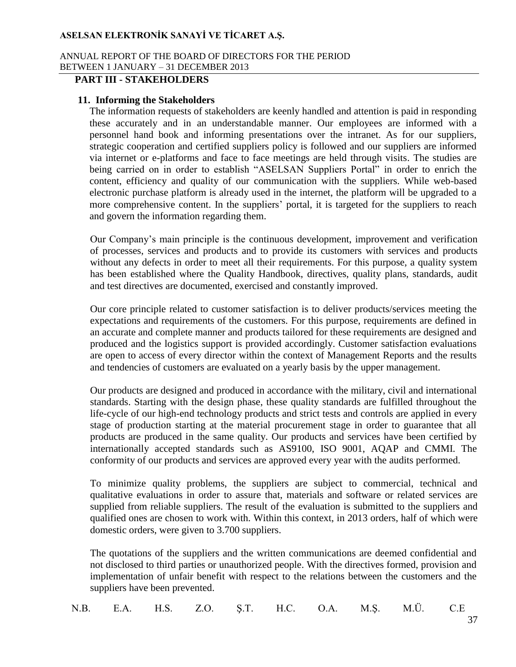#### ANNUAL REPORT OF THE BOARD OF DIRECTORS FOR THE PERIOD BETWEEN 1 JANUARY – 31 DECEMBER 2013

## **PART III - STAKEHOLDERS**

#### **11. Informing the Stakeholders**

The information requests of stakeholders are keenly handled and attention is paid in responding these accurately and in an understandable manner. Our employees are informed with a personnel hand book and informing presentations over the intranet. As for our suppliers, strategic cooperation and certified suppliers policy is followed and our suppliers are informed via internet or e-platforms and face to face meetings are held through visits. The studies are being carried on in order to establish "ASELSAN Suppliers Portal" in order to enrich the content, efficiency and quality of our communication with the suppliers. While web-based electronic purchase platform is already used in the internet, the platform will be upgraded to a more comprehensive content. In the suppliers' portal, it is targeted for the suppliers to reach and govern the information regarding them.

Our Company's main principle is the continuous development, improvement and verification of processes, services and products and to provide its customers with services and products without any defects in order to meet all their requirements. For this purpose, a quality system has been established where the Quality Handbook, directives, quality plans, standards, audit and test directives are documented, exercised and constantly improved.

Our core principle related to customer satisfaction is to deliver products/services meeting the expectations and requirements of the customers. For this purpose, requirements are defined in an accurate and complete manner and products tailored for these requirements are designed and produced and the logistics support is provided accordingly. Customer satisfaction evaluations are open to access of every director within the context of Management Reports and the results and tendencies of customers are evaluated on a yearly basis by the upper management.

Our products are designed and produced in accordance with the military, civil and international standards. Starting with the design phase, these quality standards are fulfilled throughout the life-cycle of our high-end technology products and strict tests and controls are applied in every stage of production starting at the material procurement stage in order to guarantee that all products are produced in the same quality. Our products and services have been certified by internationally accepted standards such as AS9100, ISO 9001, AQAP and CMMI. The conformity of our products and services are approved every year with the audits performed.

To minimize quality problems, the suppliers are subject to commercial, technical and qualitative evaluations in order to assure that, materials and software or related services are supplied from reliable suppliers. The result of the evaluation is submitted to the suppliers and qualified ones are chosen to work with. Within this context, in 2013 orders, half of which were domestic orders, were given to 3.700 suppliers.

The quotations of the suppliers and the written communications are deemed confidential and not disclosed to third parties or unauthorized people. With the directives formed, provision and implementation of unfair benefit with respect to the relations between the customers and the suppliers have been prevented.

|  |  |  |  |  |  |  |  | N.B. E.A. H.S. Z.O. Ş.T. H.C. O.A. M.Ş. M.Ü. C.E |  |
|--|--|--|--|--|--|--|--|--------------------------------------------------|--|
|--|--|--|--|--|--|--|--|--------------------------------------------------|--|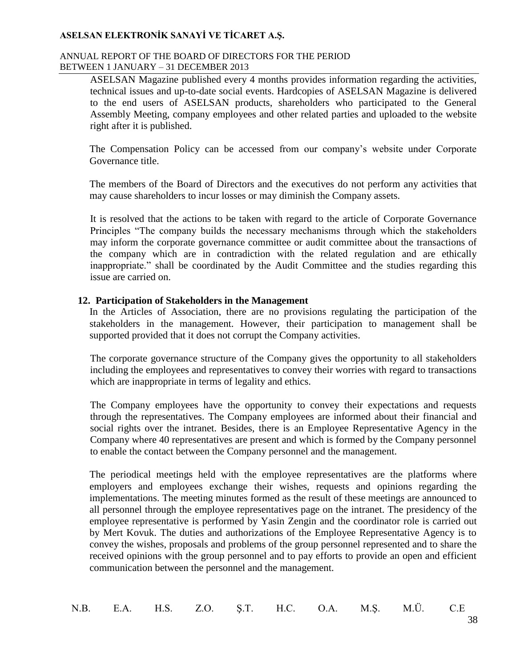#### ANNUAL REPORT OF THE BOARD OF DIRECTORS FOR THE PERIOD BETWEEN 1 JANUARY – 31 DECEMBER 2013

ASELSAN Magazine published every 4 months provides information regarding the activities, technical issues and up-to-date social events. Hardcopies of ASELSAN Magazine is delivered to the end users of ASELSAN products, shareholders who participated to the General Assembly Meeting, company employees and other related parties and uploaded to the website right after it is published.

The Compensation Policy can be accessed from our company's website under Corporate Governance title.

The members of the Board of Directors and the executives do not perform any activities that may cause shareholders to incur losses or may diminish the Company assets.

It is resolved that the actions to be taken with regard to the article of Corporate Governance Principles "The company builds the necessary mechanisms through which the stakeholders may inform the corporate governance committee or audit committee about the transactions of the company which are in contradiction with the related regulation and are ethically inappropriate." shall be coordinated by the Audit Committee and the studies regarding this issue are carried on.

#### **12. Participation of Stakeholders in the Management**

In the Articles of Association, there are no provisions regulating the participation of the stakeholders in the management. However, their participation to management shall be supported provided that it does not corrupt the Company activities.

The corporate governance structure of the Company gives the opportunity to all stakeholders including the employees and representatives to convey their worries with regard to transactions which are inappropriate in terms of legality and ethics.

The Company employees have the opportunity to convey their expectations and requests through the representatives. The Company employees are informed about their financial and social rights over the intranet. Besides, there is an Employee Representative Agency in the Company where 40 representatives are present and which is formed by the Company personnel to enable the contact between the Company personnel and the management.

The periodical meetings held with the employee representatives are the platforms where employers and employees exchange their wishes, requests and opinions regarding the implementations. The meeting minutes formed as the result of these meetings are announced to all personnel through the employee representatives page on the intranet. The presidency of the employee representative is performed by Yasin Zengin and the coordinator role is carried out by Mert Kovuk. The duties and authorizations of the Employee Representative Agency is to convey the wishes, proposals and problems of the group personnel represented and to share the received opinions with the group personnel and to pay efforts to provide an open and efficient communication between the personnel and the management.

|  |  |  |  |  |  |  |  | N.B. E.A. H.S. Z.O. Ş.T. H.C. O.A. M.Ş. M.Ü. C.E |  |
|--|--|--|--|--|--|--|--|--------------------------------------------------|--|
|--|--|--|--|--|--|--|--|--------------------------------------------------|--|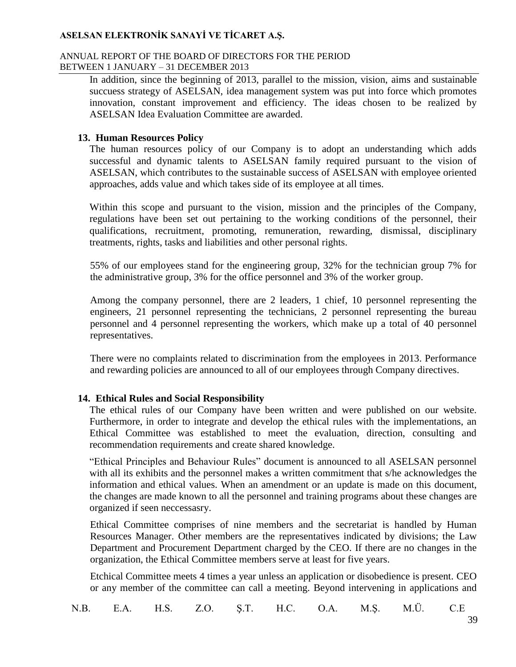#### ANNUAL REPORT OF THE BOARD OF DIRECTORS FOR THE PERIOD BETWEEN 1 JANUARY – 31 DECEMBER 2013

In addition, since the beginning of 2013, parallel to the mission, vision, aims and sustainable succuess strategy of ASELSAN, idea management system was put into force which promotes innovation, constant improvement and efficiency. The ideas chosen to be realized by ASELSAN Idea Evaluation Committee are awarded.

#### **13. Human Resources Policy**

The human resources policy of our Company is to adopt an understanding which adds successful and dynamic talents to ASELSAN family required pursuant to the vision of ASELSAN, which contributes to the sustainable success of ASELSAN with employee oriented approaches, adds value and which takes side of its employee at all times.

Within this scope and pursuant to the vision, mission and the principles of the Company, regulations have been set out pertaining to the working conditions of the personnel, their qualifications, recruitment, promoting, remuneration, rewarding, dismissal, disciplinary treatments, rights, tasks and liabilities and other personal rights.

55% of our employees stand for the engineering group, 32% for the technician group 7% for the administrative group, 3% for the office personnel and 3% of the worker group.

Among the company personnel, there are 2 leaders, 1 chief, 10 personnel representing the engineers, 21 personnel representing the technicians, 2 personnel representing the bureau personnel and 4 personnel representing the workers, which make up a total of 40 personnel representatives.

There were no complaints related to discrimination from the employees in 2013. Performance and rewarding policies are announced to all of our employees through Company directives.

### **14. Ethical Rules and Social Responsibility**

The ethical rules of our Company have been written and were published on our website. Furthermore, in order to integrate and develop the ethical rules with the implementations, an Ethical Committee was established to meet the evaluation, direction, consulting and recommendation requirements and create shared knowledge.

"Ethical Principles and Behaviour Rules" document is announced to all ASELSAN personnel with all its exhibits and the personnel makes a written commitment that s/he acknowledges the information and ethical values. When an amendment or an update is made on this document, the changes are made known to all the personnel and training programs about these changes are organized if seen neccessasry.

Ethical Committee comprises of nine members and the secretariat is handled by Human Resources Manager. Other members are the representatives indicated by divisions; the Law Department and Procurement Department charged by the CEO. If there are no changes in the organization, the Ethical Committee members serve at least for five years.

Etchical Committee meets 4 times a year unless an application or disobedience is present. CEO or any member of the committee can call a meeting. Beyond intervening in applications and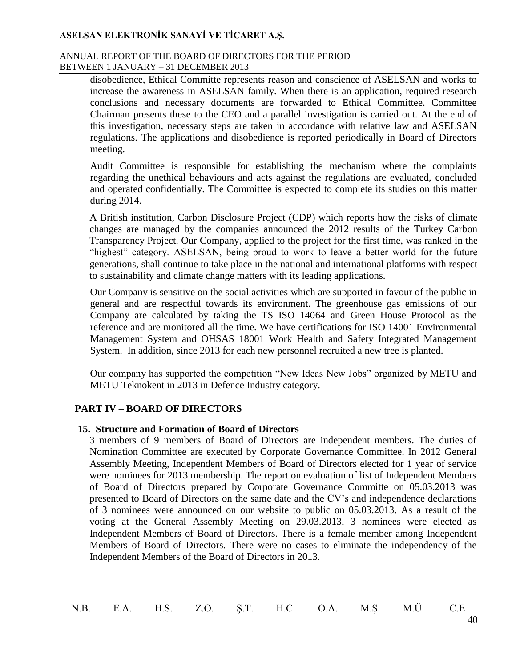#### ANNUAL REPORT OF THE BOARD OF DIRECTORS FOR THE PERIOD BETWEEN 1 JANUARY – 31 DECEMBER 2013

disobedience, Ethical Committe represents reason and conscience of ASELSAN and works to increase the awareness in ASELSAN family. When there is an application, required research conclusions and necessary documents are forwarded to Ethical Committee. Committee Chairman presents these to the CEO and a parallel investigation is carried out. At the end of this investigation, necessary steps are taken in accordance with relative law and ASELSAN regulations. The applications and disobedience is reported periodically in Board of Directors meeting.

Audit Committee is responsible for establishing the mechanism where the complaints regarding the unethical behaviours and acts against the regulations are evaluated, concluded and operated confidentially. The Committee is expected to complete its studies on this matter during 2014.

A British institution, Carbon Disclosure Project (CDP) which reports how the risks of climate changes are managed by the companies announced the 2012 results of the Turkey Carbon Transparency Project. Our Company, applied to the project for the first time, was ranked in the "highest" category. ASELSAN, being proud to work to leave a better world for the future generations, shall continue to take place in the national and international platforms with respect to sustainability and climate change matters with its leading applications.

Our Company is sensitive on the social activities which are supported in favour of the public in general and are respectful towards its environment. The greenhouse gas emissions of our Company are calculated by taking the TS ISO 14064 and Green House Protocol as the reference and are monitored all the time. We have certifications for ISO 14001 Environmental Management System and OHSAS 18001 Work Health and Safety Integrated Management System. In addition, since 2013 for each new personnel recruited a new tree is planted.

Our company has supported the competition "New Ideas New Jobs" organized by METU and METU Teknokent in 2013 in Defence Industry category.

### **PART IV – BOARD OF DIRECTORS**

### **15. Structure and Formation of Board of Directors**

3 members of 9 members of Board of Directors are independent members. The duties of Nomination Committee are executed by Corporate Governance Committee. In 2012 General Assembly Meeting, Independent Members of Board of Directors elected for 1 year of service were nominees for 2013 membership. The report on evaluation of list of Independent Members of Board of Directors prepared by Corporate Governance Committe on 05.03.2013 was presented to Board of Directors on the same date and the CV's and independence declarations of 3 nominees were announced on our website to public on 05.03.2013. As a result of the voting at the General Assembly Meeting on 29.03.2013, 3 nominees were elected as Independent Members of Board of Directors. There is a female member among Independent Members of Board of Directors. There were no cases to eliminate the independency of the Independent Members of the Board of Directors in 2013.

N.B. E.A. H.S. Z.O. Ş.T. H.C. O.A. M.Ş. M.Ü. C.E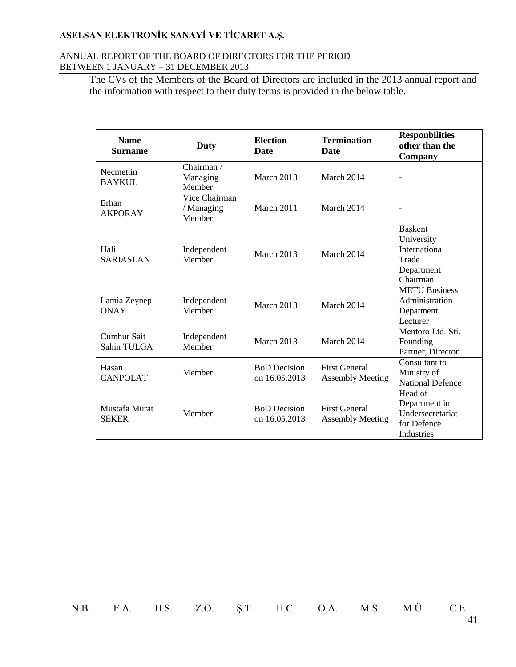#### ANNUAL REPORT OF THE BOARD OF DIRECTORS FOR THE PERIOD BETWEEN 1 JANUARY – 31 DECEMBER 2013

The CVs of the Members of the Board of Directors are included in the 2013 annual report and the information with respect to their duty terms is provided in the below table.

| <b>Name</b><br><b>Surname</b>     | <b>Duty</b>                           | <b>Election</b><br><b>Date</b>       | <b>Termination</b><br><b>Date</b>               | <b>Responbilities</b><br>other than the<br>Company                               |
|-----------------------------------|---------------------------------------|--------------------------------------|-------------------------------------------------|----------------------------------------------------------------------------------|
| Necmettin<br><b>BAYKUL</b>        | Chairman /<br>Managing<br>Member      | March 2013                           | March 2014                                      |                                                                                  |
| Erhan<br><b>AKPORAY</b>           | Vice Chairman<br>/ Managing<br>Member | March 2011                           | March 2014                                      | $\overline{a}$                                                                   |
| Halil<br><b>SARIASLAN</b>         | Independent<br>Member                 | March 2013                           | March 2014                                      | Başkent<br>University<br>International<br>Trade<br>Department<br>Chairman        |
| Lamia Zeynep<br><b>ONAY</b>       | Independent<br>Member                 | March 2013                           | March 2014                                      | <b>METU Business</b><br>Administration<br>Depatment<br>Lecturer                  |
| <b>Cumhur Sait</b><br>Şahin TULGA | Independent<br>Member                 | March 2013                           | March 2014                                      | Mentoro Ltd. Ști.<br>Founding<br>Partner, Director                               |
| Hasan<br><b>CANPOLAT</b>          | Member                                | <b>BoD</b> Decision<br>on 16.05.2013 | <b>First General</b><br><b>Assembly Meeting</b> | Consultant to<br>Ministry of<br><b>National Defence</b>                          |
| Mustafa Murat<br><b>SEKER</b>     | Member                                | <b>BoD</b> Decision<br>on 16.05.2013 | <b>First General</b><br><b>Assembly Meeting</b> | Head of<br>Department in<br>Undersecretariat<br>for Defence<br><b>Industries</b> |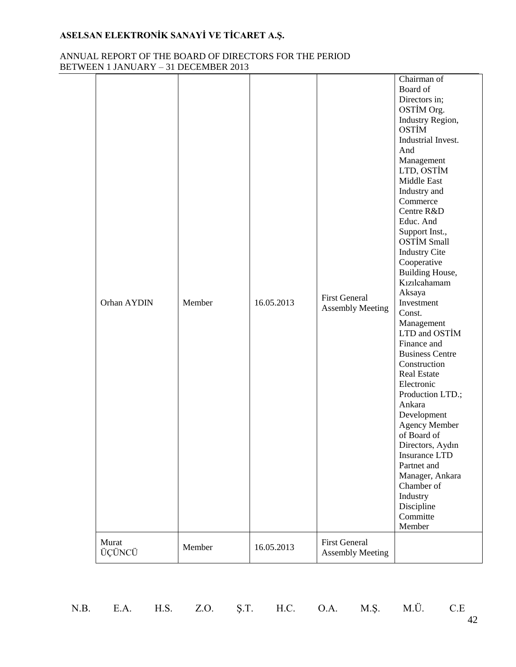### ANNUAL REPORT OF THE BOARD OF DIRECTORS FOR THE PERIOD BETWEEN 1 JANUARY – 31 DECEMBER 2013

| Orhan AYDIN<br>Murat | Member | 16.05.2013 | <b>First General</b><br><b>Assembly Meeting</b><br><b>First General</b> | Chairman of<br>Board of<br>Directors in;<br>OSTİM Org.<br>Industry Region,<br><b>OSTIM</b><br>Industrial Invest.<br>And<br>Management<br>LTD, OSTİM<br>Middle East<br>Industry and<br>Commerce<br>Centre R&D<br>Educ. And<br>Support Inst.,<br><b>OSTİM Small</b><br><b>Industry Cite</b><br>Cooperative<br>Building House,<br>Kızılcahamam<br>Aksaya<br>Investment<br>Const.<br>Management<br>LTD and OSTİM<br>Finance and<br><b>Business Centre</b><br>Construction<br><b>Real Estate</b><br>Electronic<br>Production LTD.;<br>Ankara<br>Development<br><b>Agency Member</b><br>of Board of<br>Directors, Aydın<br>Insurance LTD<br>Partnet and<br>Manager, Ankara<br>Chamber of<br>Industry<br>Discipline<br>Committe<br>Member |
|----------------------|--------|------------|-------------------------------------------------------------------------|------------------------------------------------------------------------------------------------------------------------------------------------------------------------------------------------------------------------------------------------------------------------------------------------------------------------------------------------------------------------------------------------------------------------------------------------------------------------------------------------------------------------------------------------------------------------------------------------------------------------------------------------------------------------------------------------------------------------------------|
| ÜÇÜNCÜ               | Member | 16.05.2013 | <b>Assembly Meeting</b>                                                 |                                                                                                                                                                                                                                                                                                                                                                                                                                                                                                                                                                                                                                                                                                                                    |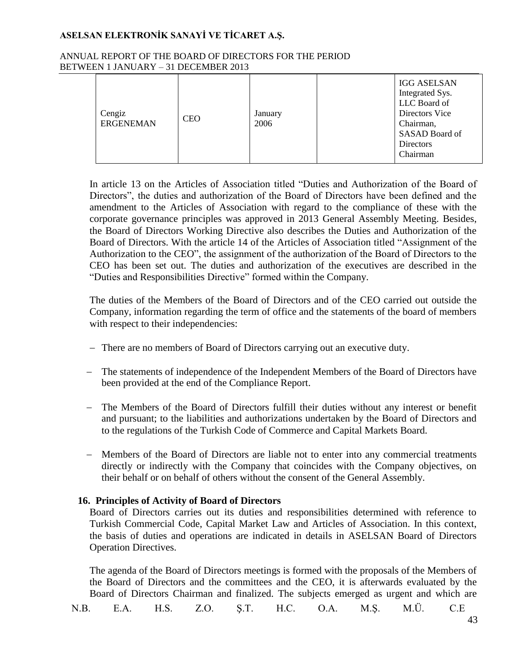#### ANNUAL REPORT OF THE BOARD OF DIRECTORS FOR THE PERIOD BETWEEN 1 JANUARY – 31 DECEMBER 2013

| Cengiz<br><b>ERGENEMAN</b> | <b>CEO</b> | January<br>2006 | <b>IGG ASELSAN</b><br>Integrated Sys.<br>LLC Board of<br>Directors Vice<br>Chairman, |
|----------------------------|------------|-----------------|--------------------------------------------------------------------------------------|
|                            |            |                 | SASAD Board of<br><b>Directors</b>                                                   |
|                            |            |                 | Chairman                                                                             |

In article 13 on the Articles of Association titled "Duties and Authorization of the Board of Directors", the duties and authorization of the Board of Directors have been defined and the amendment to the Articles of Association with regard to the compliance of these with the corporate governance principles was approved in 2013 General Assembly Meeting. Besides, the Board of Directors Working Directive also describes the Duties and Authorization of the Board of Directors. With the article 14 of the Articles of Association titled "Assignment of the Authorization to the CEO", the assignment of the authorization of the Board of Directors to the CEO has been set out. The duties and authorization of the executives are described in the "Duties and Responsibilities Directive" formed within the Company.

The duties of the Members of the Board of Directors and of the CEO carried out outside the Company, information regarding the term of office and the statements of the board of members with respect to their independencies:

- There are no members of Board of Directors carrying out an executive duty.
- The statements of independence of the Independent Members of the Board of Directors have been provided at the end of the Compliance Report.
- The Members of the Board of Directors fulfill their duties without any interest or benefit and pursuant; to the liabilities and authorizations undertaken by the Board of Directors and to the regulations of the Turkish Code of Commerce and Capital Markets Board.
- Members of the Board of Directors are liable not to enter into any commercial treatments directly or indirectly with the Company that coincides with the Company objectives, on their behalf or on behalf of others without the consent of the General Assembly.

## **16. Principles of Activity of Board of Directors**

Board of Directors carries out its duties and responsibilities determined with reference to Turkish Commercial Code, Capital Market Law and Articles of Association. In this context, the basis of duties and operations are indicated in details in ASELSAN Board of Directors Operation Directives.

The agenda of the Board of Directors meetings is formed with the proposals of the Members of the Board of Directors and the committees and the CEO, it is afterwards evaluated by the Board of Directors Chairman and finalized. The subjects emerged as urgent and which are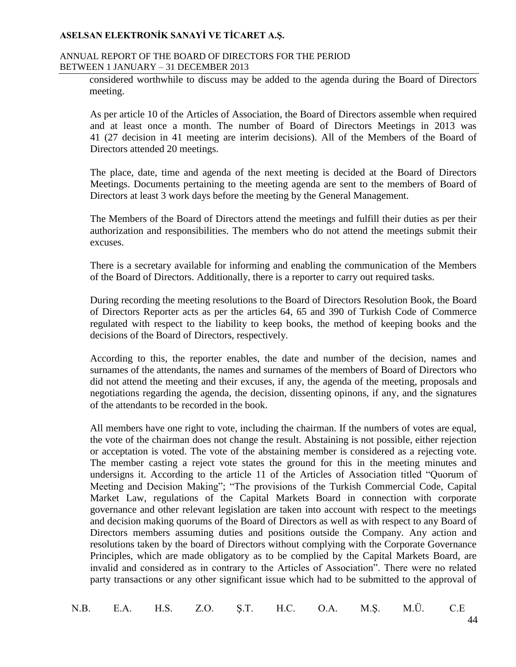#### ANNUAL REPORT OF THE BOARD OF DIRECTORS FOR THE PERIOD BETWEEN 1 JANUARY – 31 DECEMBER 2013

considered worthwhile to discuss may be added to the agenda during the Board of Directors meeting.

As per article 10 of the Articles of Association, the Board of Directors assemble when required and at least once a month. The number of Board of Directors Meetings in 2013 was 41 (27 decision in 41 meeting are interim decisions). All of the Members of the Board of Directors attended 20 meetings.

The place, date, time and agenda of the next meeting is decided at the Board of Directors Meetings. Documents pertaining to the meeting agenda are sent to the members of Board of Directors at least 3 work days before the meeting by the General Management.

The Members of the Board of Directors attend the meetings and fulfill their duties as per their authorization and responsibilities. The members who do not attend the meetings submit their excuses.

There is a secretary available for informing and enabling the communication of the Members of the Board of Directors. Additionally, there is a reporter to carry out required tasks.

During recording the meeting resolutions to the Board of Directors Resolution Book, the Board of Directors Reporter acts as per the articles 64, 65 and 390 of Turkish Code of Commerce regulated with respect to the liability to keep books, the method of keeping books and the decisions of the Board of Directors, respectively.

According to this, the reporter enables, the date and number of the decision, names and surnames of the attendants, the names and surnames of the members of Board of Directors who did not attend the meeting and their excuses, if any, the agenda of the meeting, proposals and negotiations regarding the agenda, the decision, dissenting opinons, if any, and the signatures of the attendants to be recorded in the book.

All members have one right to vote, including the chairman. If the numbers of votes are equal, the vote of the chairman does not change the result. Abstaining is not possible, either rejection or acceptation is voted. The vote of the abstaining member is considered as a rejecting vote. The member casting a reject vote states the ground for this in the meeting minutes and undersigns it. According to the article 11 of the Articles of Association titled "Quorum of Meeting and Decision Making"; "The provisions of the Turkish Commercial Code, Capital Market Law, regulations of the Capital Markets Board in connection with corporate governance and other relevant legislation are taken into account with respect to the meetings and decision making quorums of the Board of Directors as well as with respect to any Board of Directors members assuming duties and positions outside the Company. Any action and resolutions taken by the board of Directors without complying with the Corporate Governance Principles, which are made obligatory as to be complied by the Capital Markets Board, are invalid and considered as in contrary to the Articles of Association". There were no related party transactions or any other significant issue which had to be submitted to the approval of

|  |  |  |  |  |  |  |  | N.B. E.A. H.S. Z.O. Ş.T. H.C. O.A. M.Ş. M.Ü. C.E |  |
|--|--|--|--|--|--|--|--|--------------------------------------------------|--|
|--|--|--|--|--|--|--|--|--------------------------------------------------|--|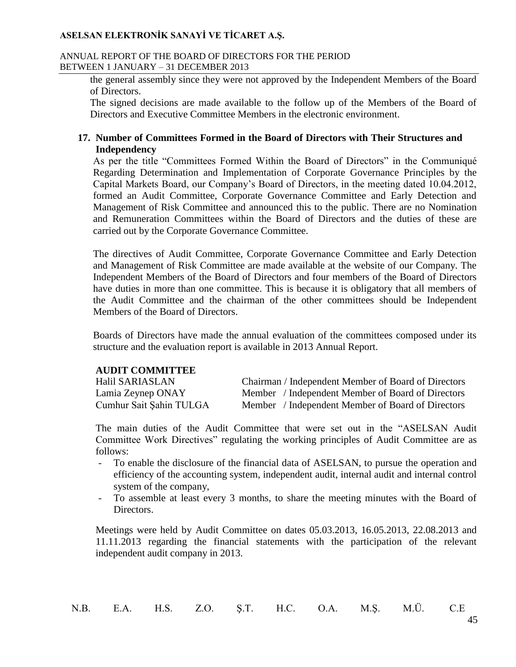#### ANNUAL REPORT OF THE BOARD OF DIRECTORS FOR THE PERIOD BETWEEN 1 JANUARY – 31 DECEMBER 2013

the general assembly since they were not approved by the Independent Members of the Board of Directors.

The signed decisions are made available to the follow up of the Members of the Board of Directors and Executive Committee Members in the electronic environment.

### **17. Number of Committees Formed in the Board of Directors with Their Structures and Independency**

As per the title "Committees Formed Within the Board of Directors" in the Communiqué Regarding Determination and Implementation of Corporate Governance Principles by the Capital Markets Board, our Company's Board of Directors, in the meeting dated 10.04.2012, formed an Audit Committee, Corporate Governance Committee and Early Detection and Management of Risk Committee and announced this to the public. There are no Nomination and Remuneration Committees within the Board of Directors and the duties of these are carried out by the Corporate Governance Committee.

The directives of Audit Committee, Corporate Governance Committee and Early Detection and Management of Risk Committee are made available at the website of our Company. The Independent Members of the Board of Directors and four members of the Board of Directors have duties in more than one committee. This is because it is obligatory that all members of the Audit Committee and the chairman of the other committees should be Independent Members of the Board of Directors.

Boards of Directors have made the annual evaluation of the committees composed under its structure and the evaluation report is available in 2013 Annual Report.

#### **AUDIT COMMITTEE**

| Halil SARIASLAN         | Chairman / Independent Member of Board of Directors |
|-------------------------|-----------------------------------------------------|
| Lamia Zeynep ONAY       | Member / Independent Member of Board of Directors   |
| Cumhur Sait Şahin TULGA | Member / Independent Member of Board of Directors   |

The main duties of the Audit Committee that were set out in the "ASELSAN Audit Committee Work Directives" regulating the working principles of Audit Committee are as follows:

- To enable the disclosure of the financial data of ASELSAN, to pursue the operation and efficiency of the accounting system, independent audit, internal audit and internal control system of the company,
- To assemble at least every 3 months, to share the meeting minutes with the Board of Directors.

Meetings were held by Audit Committee on dates 05.03.2013, 16.05.2013, 22.08.2013 and 11.11.2013 regarding the financial statements with the participation of the relevant independent audit company in 2013.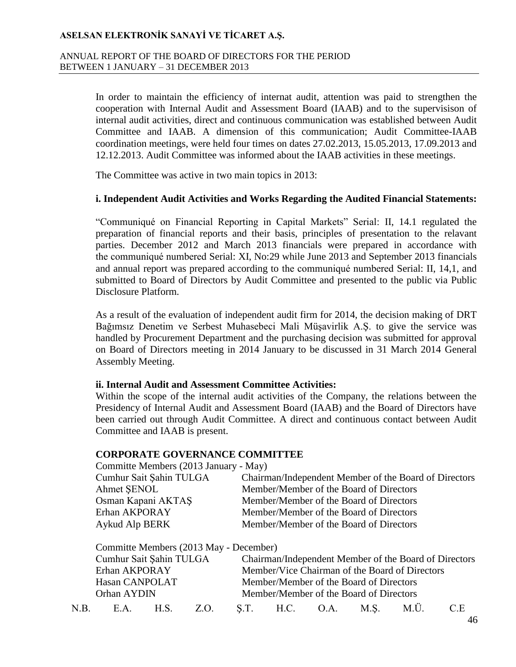#### ANNUAL REPORT OF THE BOARD OF DIRECTORS FOR THE PERIOD BETWEEN 1 JANUARY – 31 DECEMBER 2013

In order to maintain the efficiency of internat audit, attention was paid to strengthen the cooperation with Internal Audit and Assessment Board (IAAB) and to the supervisison of internal audit activities, direct and continuous communication was established between Audit Committee and IAAB. A dimension of this communication; Audit Committee-IAAB coordination meetings, were held four times on dates 27.02.2013, 15.05.2013, 17.09.2013 and 12.12.2013. Audit Committee was informed about the IAAB activities in these meetings.

The Committee was active in two main topics in 2013:

#### **i. Independent Audit Activities and Works Regarding the Audited Financial Statements:**

"Communiqué on Financial Reporting in Capital Markets" Serial: II, 14.1 regulated the preparation of financial reports and their basis, principles of presentation to the relavant parties. December 2012 and March 2013 financials were prepared in accordance with the communiqué numbered Serial: XI, No:29 while June 2013 and September 2013 financials and annual report was prepared according to the communiqué numbered Serial: II, 14,1, and submitted to Board of Directors by Audit Committee and presented to the public via Public Disclosure Platform.

As a result of the evaluation of independent audit firm for 2014, the decision making of DRT Bağımsız Denetim ve Serbest Muhasebeci Mali Müşavirlik A.Ş. to give the service was handled by Procurement Department and the purchasing decision was submitted for approval on Board of Directors meeting in 2014 January to be discussed in 31 March 2014 General Assembly Meeting.

#### **ii. Internal Audit and Assessment Committee Activities:**

Within the scope of the internal audit activities of the Company, the relations between the Presidency of Internal Audit and Assessment Board (IAAB) and the Board of Directors have been carried out through Audit Committee. A direct and continuous contact between Audit Committee and IAAB is present.

## **CORPORATE GOVERNANCE COMMITTEE**

| Committe Members (2013 January - May)                 |
|-------------------------------------------------------|
| Chairman/Independent Member of the Board of Directors |
| Member/Member of the Board of Directors               |
| Member/Member of the Board of Directors               |
| Member/Member of the Board of Directors               |
| Member/Member of the Board of Directors               |
|                                                       |

Committe Members (2013 May - December)

Cumhur Sait Şahin TULGA Chairman/Independent Member of the Board of Directors Erhan AKPORAY Member/Vice Chairman of the Board of Directors Hasan CANPOLAT Member/Member of the Board of Directors Orhan AYDIN Member/Member of the Board of Directors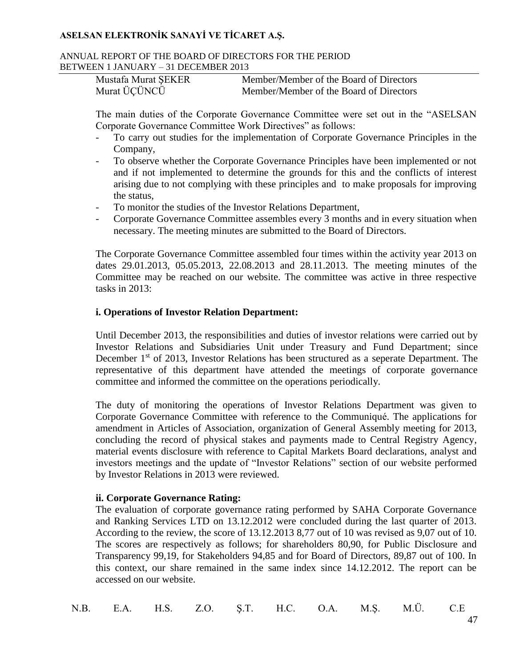#### ANNUAL REPORT OF THE BOARD OF DIRECTORS FOR THE PERIOD BETWEEN 1 JANUARY – 31 DECEMBER 2013

| Mustafa Murat ŞEKER | Member/Member of the Board of Directors |
|---------------------|-----------------------------------------|
| Murat ÜÇÜNCÜ        | Member/Member of the Board of Directors |

The main duties of the Corporate Governance Committee were set out in the "ASELSAN Corporate Governance Committee Work Directives" as follows:

- To carry out studies for the implementation of Corporate Governance Principles in the Company,
- To observe whether the Corporate Governance Principles have been implemented or not and if not implemented to determine the grounds for this and the conflicts of interest arising due to not complying with these principles and to make proposals for improving the status,
- To monitor the studies of the Investor Relations Department,
- Corporate Governance Committee assembles every 3 months and in every situation when necessary. The meeting minutes are submitted to the Board of Directors.

The Corporate Governance Committee assembled four times within the activity year 2013 on dates 29.01.2013, 05.05.2013, 22.08.2013 and 28.11.2013. The meeting minutes of the Committee may be reached on our website. The committee was active in three respective tasks in 2013:

## **i. Operations of Investor Relation Department:**

Until December 2013, the responsibilities and duties of investor relations were carried out by Investor Relations and Subsidiaries Unit under Treasury and Fund Department; since December 1<sup>st</sup> of 2013, Investor Relations has been structured as a seperate Department. The representative of this department have attended the meetings of corporate governance committee and informed the committee on the operations periodically.

The duty of monitoring the operations of Investor Relations Department was given to Corporate Governance Committee with reference to the Communiqué. The applications for amendment in Articles of Association, organization of General Assembly meeting for 2013, concluding the record of physical stakes and payments made to Central Registry Agency, material events disclosure with reference to Capital Markets Board declarations, analyst and investors meetings and the update of "Investor Relations" section of our website performed by Investor Relations in 2013 were reviewed.

### **ii. Corporate Governance Rating:**

The evaluation of corporate governance rating performed by SAHA Corporate Governance and Ranking Services LTD on 13.12.2012 were concluded during the last quarter of 2013. According to the review, the score of 13.12.2013 8,77 out of 10 was revised as 9,07 out of 10. The scores are respectively as follows; for shareholders 80,90, for Public Disclosure and Transparency 99,19, for Stakeholders 94,85 and for Board of Directors, 89,87 out of 100. In this context, our share remained in the same index since 14.12.2012. The report can be accessed on our website.

|  |  |  |  |  |  |  |  | N.B. E.A. H.S. Z.O. Ş.T. H.C. O.A. M.Ş. M.Ü. C.E |  |
|--|--|--|--|--|--|--|--|--------------------------------------------------|--|
|--|--|--|--|--|--|--|--|--------------------------------------------------|--|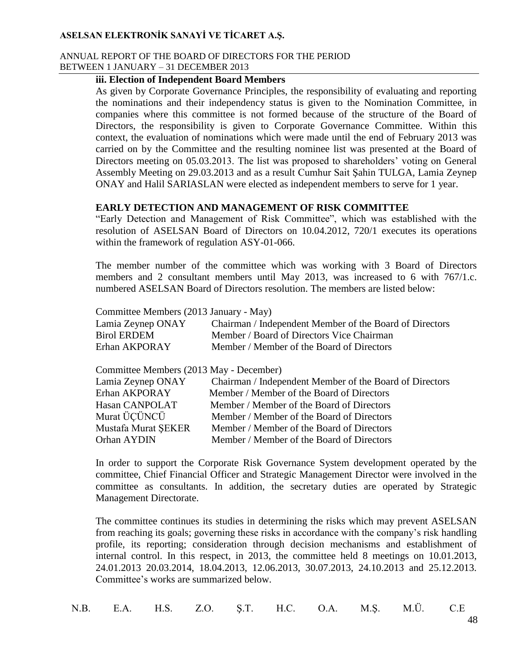#### ANNUAL REPORT OF THE BOARD OF DIRECTORS FOR THE PERIOD BETWEEN 1 JANUARY – 31 DECEMBER 2013

#### **iii. Election of Independent Board Members**

As given by Corporate Governance Principles, the responsibility of evaluating and reporting the nominations and their independency status is given to the Nomination Committee, in companies where this committee is not formed because of the structure of the Board of Directors, the responsibility is given to Corporate Governance Committee. Within this context, the evaluation of nominations which were made until the end of February 2013 was carried on by the Committee and the resulting nominee list was presented at the Board of Directors meeting on 05.03.2013. The list was proposed to shareholders' voting on General Assembly Meeting on 29.03.2013 and as a result Cumhur Sait Şahin TULGA, Lamia Zeynep ONAY and Halil SARIASLAN were elected as independent members to serve for 1 year.

### **EARLY DETECTION AND MANAGEMENT OF RISK COMMITTEE**

"Early Detection and Management of Risk Committee", which was established with the resolution of ASELSAN Board of Directors on 10.04.2012, 720/1 executes its operations within the framework of regulation ASY-01-066.

The member number of the committee which was working with 3 Board of Directors members and 2 consultant members until May 2013, was increased to 6 with 767/1.c. numbered ASELSAN Board of Directors resolution. The members are listed below:

Committee Members (2013 January - May)

| Lamia Zeynep ONAY | Chairman / Independent Member of the Board of Directors |
|-------------------|---------------------------------------------------------|
| Birol ERDEM       | Member / Board of Directors Vice Chairman               |
| Erhan AKPORAY     | Member / Member of the Board of Directors               |

Committee Members (2013 May - December)

| Lamia Zeynep ONAY   | Chairman / Independent Member of the Board of Directors |
|---------------------|---------------------------------------------------------|
| Erhan AKPORAY       | Member / Member of the Board of Directors               |
| Hasan CANPOLAT      | Member / Member of the Board of Directors               |
| Murat ÜÇÜNCÜ        | Member / Member of the Board of Directors               |
| Mustafa Murat SEKER | Member / Member of the Board of Directors               |
| Orhan AYDIN         | Member / Member of the Board of Directors               |
|                     |                                                         |

In order to support the Corporate Risk Governance System development operated by the committee, Chief Financial Officer and Strategic Management Director were involved in the committee as consultants. In addition, the secretary duties are operated by Strategic Management Directorate.

The committee continues its studies in determining the risks which may prevent ASELSAN from reaching its goals; governing these risks in accordance with the company's risk handling profile, its reporting; consideration through decision mechanisms and establishment of internal control. In this respect, in 2013, the committee held 8 meetings on 10.01.2013, 24.01.2013 20.03.2014, 18.04.2013, 12.06.2013, 30.07.2013, 24.10.2013 and 25.12.2013. Committee's works are summarized below.

|  |  |  |  |  |  |  |  | N.B. E.A. H.S. Z.O. Ş.T. H.C. O.A. M.Ş. M.Ü. C.E |  |
|--|--|--|--|--|--|--|--|--------------------------------------------------|--|
|--|--|--|--|--|--|--|--|--------------------------------------------------|--|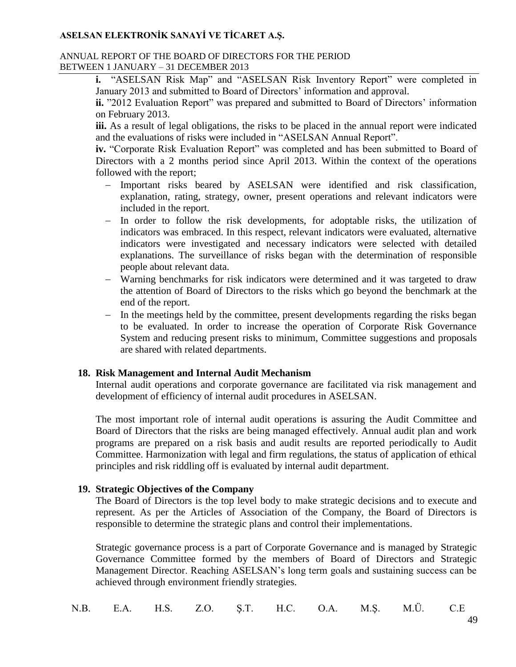#### ANNUAL REPORT OF THE BOARD OF DIRECTORS FOR THE PERIOD BETWEEN 1 JANUARY – 31 DECEMBER 2013

**i.** "ASELSAN Risk Map" and "ASELSAN Risk Inventory Report" were completed in January 2013 and submitted to Board of Directors' information and approval.

**ii.** "2012 Evaluation Report" was prepared and submitted to Board of Directors' information on February 2013.

**iii.** As a result of legal obligations, the risks to be placed in the annual report were indicated and the evaluations of risks were included in "ASELSAN Annual Report".

**iv.** "Corporate Risk Evaluation Report" was completed and has been submitted to Board of Directors with a 2 months period since April 2013. Within the context of the operations followed with the report;

- Important risks beared by ASELSAN were identified and risk classification, explanation, rating, strategy, owner, present operations and relevant indicators were included in the report.
- In order to follow the risk developments, for adoptable risks, the utilization of indicators was embraced. In this respect, relevant indicators were evaluated, alternative indicators were investigated and necessary indicators were selected with detailed explanations. The surveillance of risks began with the determination of responsible people about relevant data.
- Warning benchmarks for risk indicators were determined and it was targeted to draw the attention of Board of Directors to the risks which go beyond the benchmark at the end of the report.
- In the meetings held by the committee, present developments regarding the risks began to be evaluated. In order to increase the operation of Corporate Risk Governance System and reducing present risks to minimum, Committee suggestions and proposals are shared with related departments.

## **18. Risk Management and Internal Audit Mechanism**

Internal audit operations and corporate governance are facilitated via risk management and development of efficiency of internal audit procedures in ASELSAN.

The most important role of internal audit operations is assuring the Audit Committee and Board of Directors that the risks are being managed effectively. Annual audit plan and work programs are prepared on a risk basis and audit results are reported periodically to Audit Committee. Harmonization with legal and firm regulations, the status of application of ethical principles and risk riddling off is evaluated by internal audit department.

## **19. Strategic Objectives of the Company**

The Board of Directors is the top level body to make strategic decisions and to execute and represent. As per the Articles of Association of the Company, the Board of Directors is responsible to determine the strategic plans and control their implementations.

Strategic governance process is a part of Corporate Governance and is managed by Strategic Governance Committee formed by the members of Board of Directors and Strategic Management Director. Reaching ASELSAN's long term goals and sustaining success can be achieved through environment friendly strategies.

|  |  |  |  |  |  |  |  | N.B. E.A. H.S. Z.O. Ş.T. H.C. O.A. M.Ş. M.Ü. C.E |  |
|--|--|--|--|--|--|--|--|--------------------------------------------------|--|
|--|--|--|--|--|--|--|--|--------------------------------------------------|--|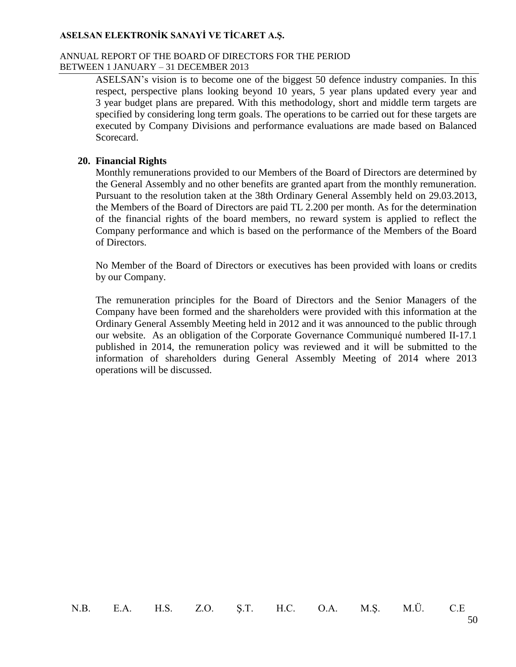#### ANNUAL REPORT OF THE BOARD OF DIRECTORS FOR THE PERIOD BETWEEN 1 JANUARY – 31 DECEMBER 2013

ASELSAN's vision is to become one of the biggest 50 defence industry companies. In this respect, perspective plans looking beyond 10 years, 5 year plans updated every year and 3 year budget plans are prepared. With this methodology, short and middle term targets are specified by considering long term goals. The operations to be carried out for these targets are executed by Company Divisions and performance evaluations are made based on Balanced Scorecard.

### **20. Financial Rights**

Monthly remunerations provided to our Members of the Board of Directors are determined by the General Assembly and no other benefits are granted apart from the monthly remuneration. Pursuant to the resolution taken at the 38th Ordinary General Assembly held on 29.03.2013, the Members of the Board of Directors are paid TL 2.200 per month. As for the determination of the financial rights of the board members, no reward system is applied to reflect the Company performance and which is based on the performance of the Members of the Board of Directors.

No Member of the Board of Directors or executives has been provided with loans or credits by our Company.

The remuneration principles for the Board of Directors and the Senior Managers of the Company have been formed and the shareholders were provided with this information at the Ordinary General Assembly Meeting held in 2012 and it was announced to the public through our website. As an obligation of the Corporate Governance Communiqué numbered II-17.1 published in 2014, the remuneration policy was reviewed and it will be submitted to the information of shareholders during General Assembly Meeting of 2014 where 2013 operations will be discussed.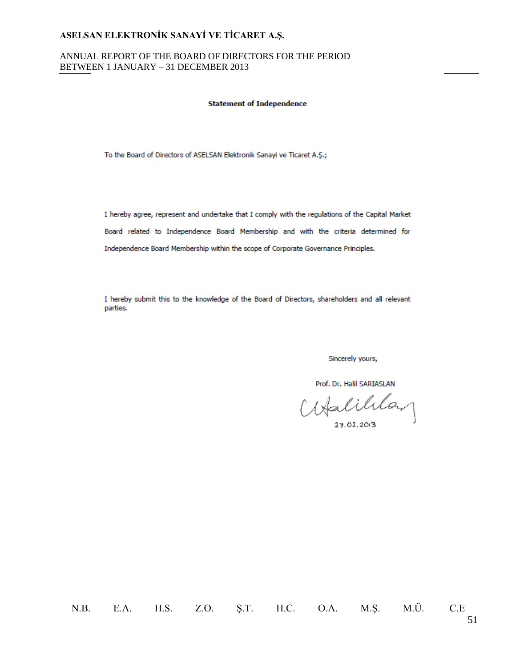#### ANNUAL REPORT OF THE BOARD OF DIRECTORS FOR THE PERIOD BETWEEN 1 JANUARY – 31 DECEMBER 2013

#### **Statement of Independence**

To the Board of Directors of ASELSAN Elektronik Sanayi ve Ticaret A.Ş.;

I hereby agree, represent and undertake that I comply with the regulations of the Capital Market Board related to Independence Board Membership and with the criteria determined for Independence Board Membership within the scope of Corporate Governance Principles.

I hereby submit this to the knowledge of the Board of Directors, shareholders and all relevant parties.

Sincerely yours,

Prof. Dr. Halil SARIASLAN

atalililan

27.02.2013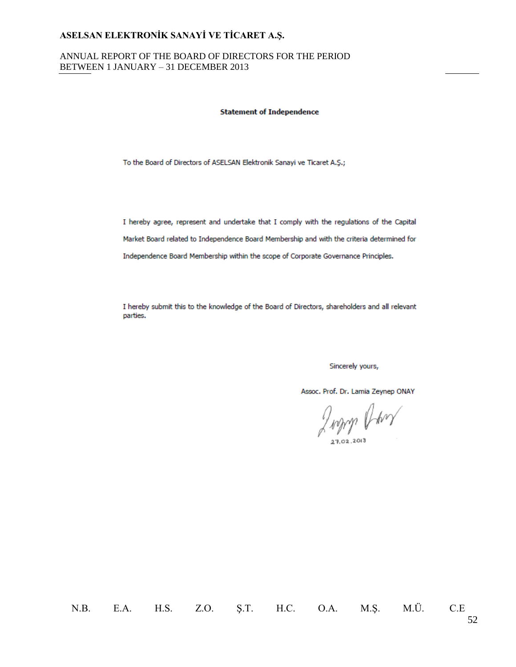#### ANNUAL REPORT OF THE BOARD OF DIRECTORS FOR THE PERIOD BETWEEN 1 JANUARY – 31 DECEMBER 2013

#### **Statement of Independence**

To the Board of Directors of ASELSAN Elektronik Sanayi ve Ticaret A.Ş.;

I hereby agree, represent and undertake that I comply with the regulations of the Capital Market Board related to Independence Board Membership and with the criteria determined for Independence Board Membership within the scope of Corporate Governance Principles.

I hereby submit this to the knowledge of the Board of Directors, shareholders and all relevant parties.

Sincerely yours,

Assoc. Prof. Dr. Lamia Zeynep ONAY

Judith Barry

27.02.2013

N.B. E.A. H.S. Z.O. Ş.T. H.C. O.A. M.Ş. M.Ü. C.E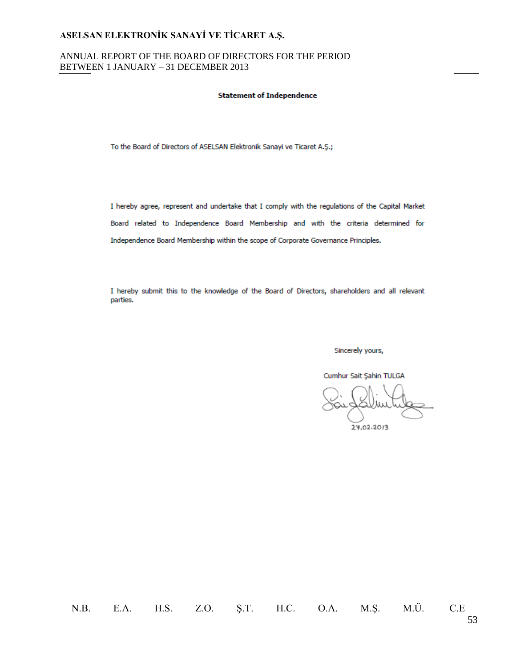#### ANNUAL REPORT OF THE BOARD OF DIRECTORS FOR THE PERIOD BETWEEN 1 JANUARY – 31 DECEMBER 2013

#### **Statement of Independence**

To the Board of Directors of ASELSAN Elektronik Sanayi ve Ticaret A.Ş.;

I hereby agree, represent and undertake that I comply with the regulations of the Capital Market Board related to Independence Board Membership and with the criteria determined for Independence Board Membership within the scope of Corporate Governance Principles.

I hereby submit this to the knowledge of the Board of Directors, shareholders and all relevant parties.

Sincerely yours,

Cumhur Sait Şahin TULGA

27.02.2013

N.B. E.A. H.S. Z.O. Ş.T. H.C. O.A. M.Ş. M.Ü. C.E